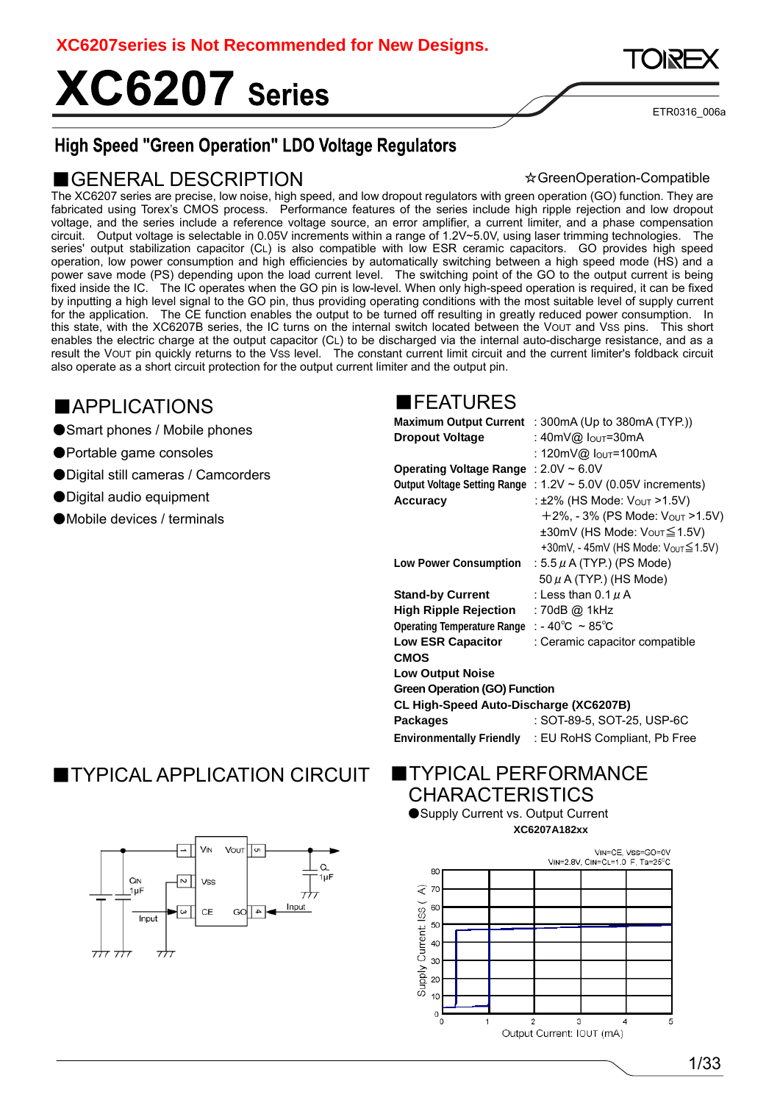# XC6207 Series



ETR0316\_006a

### **High Speed "Green Operation" LDO Voltage Regulators**

#### ■GENERAL DESCRIPTION

☆GreenOperation-Compatible

The XC6207 series are precise, low noise, high speed, and low dropout regulators with green operation (GO) function. They are fabricated using Torex's CMOS process. Performance features of the series include high ripple rejection and low dropout voltage, and the series include a reference voltage source, an error amplifier, a current limiter, and a phase compensation circuit. Output voltage is selectable in 0.05V increments within a range of 1.2V~5.0V, using laser trimming technologies. The series' output stabilization capacitor (CL) is also compatible with low ESR ceramic capacitors. GO provides high speed operation, low power consumption and high efficiencies by automatically switching between a high speed mode (HS) and a power save mode (PS) depending upon the load current level. The switching point of the GO to the output current is being fixed inside the IC. The IC operates when the GO pin is low-level. When only high-speed operation is required, it can be fixed by inputting a high level signal to the GO pin, thus providing operating conditions with the most suitable level of supply current for the application. The CE function enables the output to be turned off resulting in greatly reduced power consumption. In this state, with the XC6207B series, the IC turns on the internal switch located between the VOUT and VSS pins. This short enables the electric charge at the output capacitor (CL) to be discharged via the internal auto-discharge resistance, and as a result the VOUT pin quickly returns to the VSS level. The constant current limit circuit and the current limiter's foldback circuit also operate as a short circuit protection for the output current limiter and the output pin.

### ■APPLICATIONS

- ●Smart phones / Mobile phones
- ●Portable game consoles
- Digital still cameras / Camcorders
- Digital audio equipment
- ●Mobile devices / terminals

#### ■FEATURES

|                                                                 | <b>Maximum Output Current</b> : $300mA$ (Up to $380mA$ (TYP.))        |
|-----------------------------------------------------------------|-----------------------------------------------------------------------|
| <b>Dropout Voltage</b>                                          | : 40mV@ Iouт=30mA                                                     |
|                                                                 | : 120mV@ Io∪⊤=100mA                                                   |
| Operating Voltage Range : 2.0V ~ 6.0V                           |                                                                       |
|                                                                 | Output Voltage Setting Range : $1.2V \approx 5.0V$ (0.05V increments) |
| <b>Accuracy</b>                                                 | : ±2% (HS Mode: Vout >1.5V)                                           |
|                                                                 | $+2\%$ , - 3% (PS Mode: $V_{OUT} > 1.5V$ )                            |
|                                                                 | ±30mV (HS Mode: Vo∪r≦1.5V)                                            |
|                                                                 | +30mV, - 45mV (HS Mode: Vo∪т≦1.5V)                                    |
| <b>Low Power Consumption</b>                                    | : 5.5 $\mu$ A (TYP.) (PS Mode)                                        |
|                                                                 | $50 \mu$ A (TYP.) (HS Mode)                                           |
| <b>Stand-by Current</b>                                         | : Less than $0.1 \mu$ A                                               |
| High Ripple Rejection                                           | : 70dB @ 1kHz                                                         |
| Operating Temperature Range : - $40^{\circ}$ C ~ $85^{\circ}$ C |                                                                       |
| <b>Low ESR Capacitor</b>                                        | : Ceramic capacitor compatible                                        |
| <b>CMOS</b>                                                     |                                                                       |
| <b>Low Output Noise</b>                                         |                                                                       |
| <b>Green Operation (GO) Function</b>                            |                                                                       |
| CL High-Speed Auto-Discharge (XC6207B)                          |                                                                       |
| <b>Packages</b>                                                 | : SOT-89-5, SOT-25, USP-6C                                            |
|                                                                 | <b>Environmentally Friendly : EU RoHS Compliant, Pb Free</b>          |
|                                                                 |                                                                       |

### ■TYPICAL APPLICATION CIRCUIT



#### **TYPICAL PERFORMANCE CHARACTERISTICS**

●Supply Current vs. Output Current **XC6207A182xx**

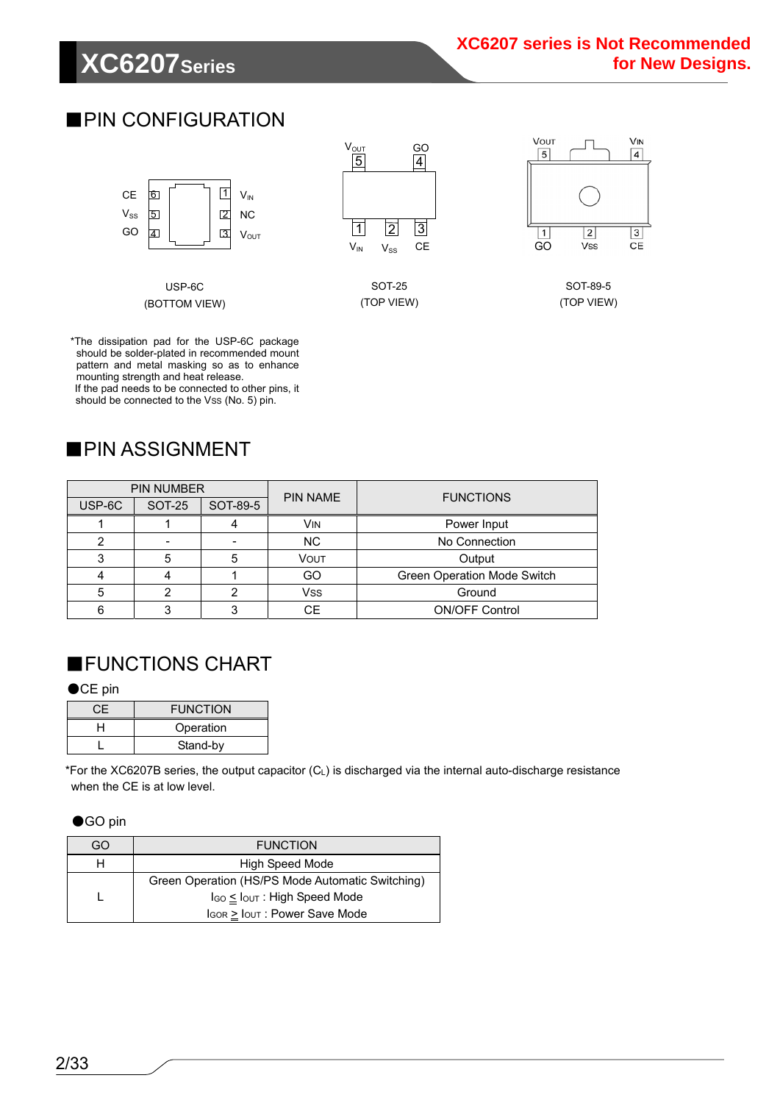# **XC6207Series**

### ■PIN CONFIGURATION



USP-6C (BOTTOM VIEW)  $V_{\mathsf{OUT}}$  $V_{IN}$   $V_{SS}$  CE GO 4 2 1 3 5

> SOT-25 (TOP VIEW)



SOT-89-5 (TOP VIEW)

\*The dissipation pad for the USP-6C package should be solder-plated in recommended mount pattern and metal masking so as to enhance mounting strength and heat release. If the pad needs to be connected to other pins, it should be connected to the Vss (No. 5) pin.

### ■PIN ASSIGNMENT

| <b>PIN NUMBER</b> |               |          | <b>PIN NAME</b> | <b>FUNCTIONS</b>            |  |  |
|-------------------|---------------|----------|-----------------|-----------------------------|--|--|
| USP-6C            | <b>SOT-25</b> | SOT-89-5 |                 |                             |  |  |
|                   |               |          | <b>VIN</b>      | Power Input                 |  |  |
|                   |               |          | NC.             | No Connection               |  |  |
|                   | 5             |          | VOUT            | Output                      |  |  |
|                   |               |          | GO              | Green Operation Mode Switch |  |  |
| 5                 |               |          | <b>Vss</b>      | Ground                      |  |  |
| 6                 |               |          | <b>CE</b>       | <b>ON/OFF Control</b>       |  |  |

### ■FUNCTIONS CHART

#### ●CE pin

| СF | <b>FUNCTION</b> |
|----|-----------------|
| ⊣  | Operation       |
|    | Stand-by        |

\*For the XC6207B series, the output capacitor (CL) is discharged via the internal auto-discharge resistance when the CE is at low level.

#### ●GO pin

| GO | <b>FUNCTION</b>                                      |
|----|------------------------------------------------------|
|    | High Speed Mode                                      |
|    | Green Operation (HS/PS Mode Automatic Switching)     |
|    | I <sub>GO</sub> ≤ I <sub>OUT</sub> : High Speed Mode |
|    | $\log_{\rm 1.5}$ Iout : Power Save Mode              |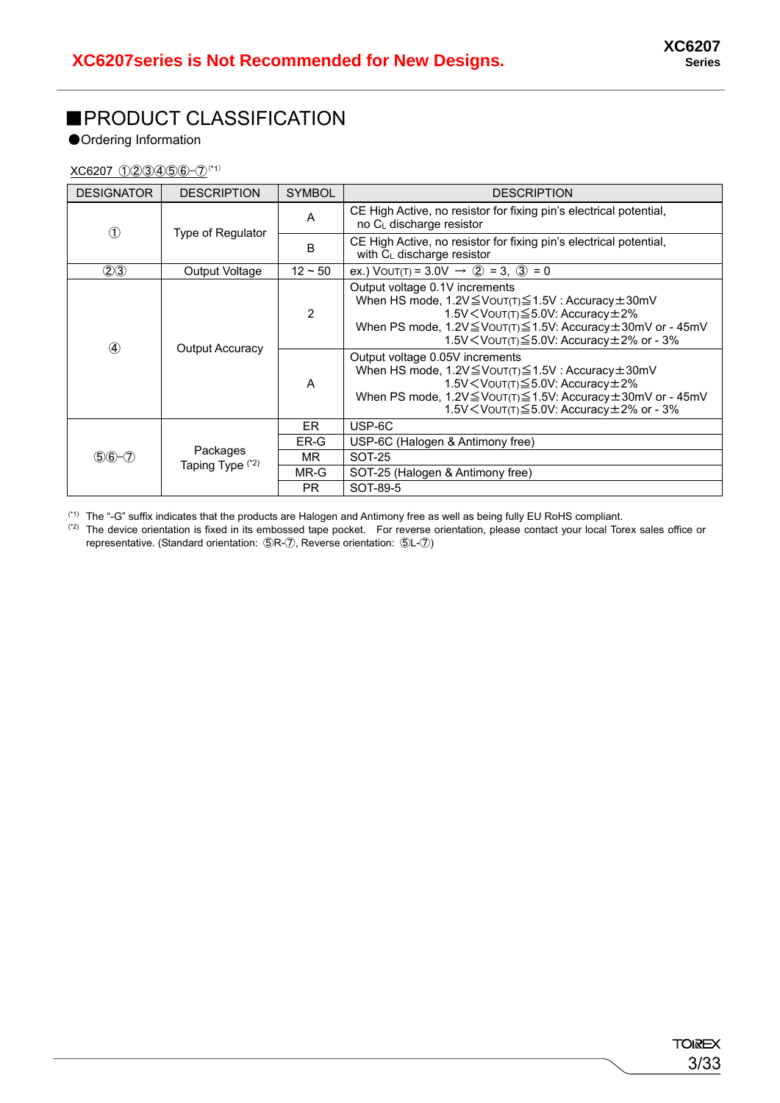### ■PRODUCT CLASSIFICATION

●Ordering Information

XC6207 ①②③④⑤⑥-⑦(\*1)

| <b>DESIGNATOR</b> | <b>DESCRIPTION</b>           | <b>SYMBOL</b> | <b>DESCRIPTION</b>                                                                                                                                                                                                                                              |
|-------------------|------------------------------|---------------|-----------------------------------------------------------------------------------------------------------------------------------------------------------------------------------------------------------------------------------------------------------------|
| D                 |                              | A             | CE High Active, no resistor for fixing pin's electrical potential,<br>no C <sub>L</sub> discharge resistor                                                                                                                                                      |
|                   | Type of Regulator            | B             | CE High Active, no resistor for fixing pin's electrical potential,<br>with $C_L$ discharge resistor                                                                                                                                                             |
| (2)3              | Output Voltage               | $12 \sim 50$  | ex.) VOUT(T) = 3.0V $\rightarrow$ (2) = 3, (3) = 0                                                                                                                                                                                                              |
|                   | <b>Output Accuracy</b>       | 2             | Output voltage 0.1V increments<br>When HS mode, 1.2V ≤ VOUT(T) ≤ 1.5V : Accuracy ± 30mV<br>1.5V $\leq$ Vout(T) $\leq$ 5.0V: Accuracy $\pm$ 2%<br>When PS mode, 1.2V ≤ VOUT(T) ≤ 1.5V: Accuracy ± 30mV or - 45mV<br>1.5V < VOUT(T) ≤ 5.0V: Accuracy ± 2% or - 3% |
| $\circled{4}$     |                              | A             | Output voltage 0.05V increments<br>When HS mode, 1.2V ≤ VOUT(T) ≤ 1.5V : Accuracy ± 30mV<br>1.5V < VOUT(T) ≤ 5.0V: Accuracy ± 2%<br>When PS mode, 1.2V ≤ VOUT(T) ≤ 1.5V: Accuracy ± 30mV or - 45mV<br>1.5V < VOUT(T) ≤ 5.0V: Accuracy ± 2% or - 3%              |
|                   |                              | ER            | USP-6C                                                                                                                                                                                                                                                          |
|                   |                              | ER-G          | USP-6C (Halogen & Antimony free)                                                                                                                                                                                                                                |
| $$6 - 7$          | Packages<br>Taping Type (*2) | MR.           | SOT-25                                                                                                                                                                                                                                                          |
|                   |                              | MR-G          | SOT-25 (Halogen & Antimony free)                                                                                                                                                                                                                                |
|                   |                              | <b>PR</b>     | SOT-89-5                                                                                                                                                                                                                                                        |

 $(1)$  The "-G" suffix indicates that the products are Halogen and Antimony free as well as being fully EU RoHS compliant.

 $(2)$  The device orientation is fixed in its embossed tape pocket. For reverse orientation, please contact your local Torex sales office or representative. (Standard orientation: ⑤R-⑦, Reverse orientation: ⑤L-⑦)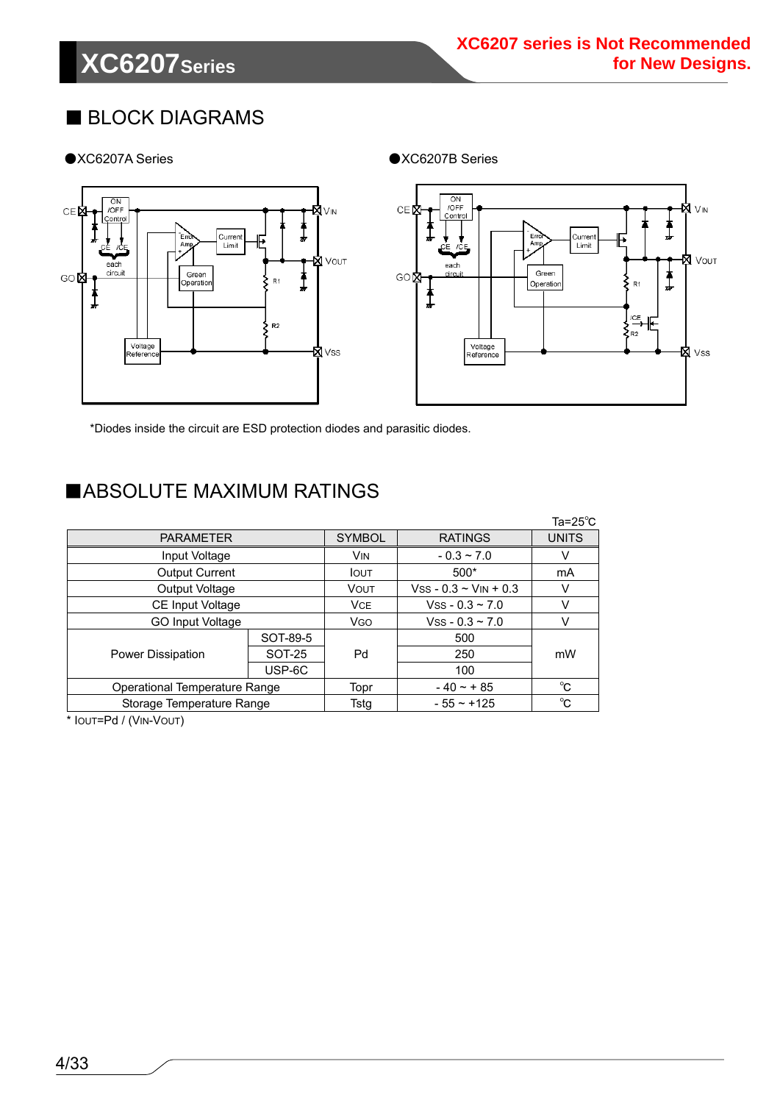# **XC6207Series**

### ■ BLOCK DIAGRAMS

●XC6207A Series ●XC6207B Series



\*Diodes inside the circuit are ESD protection diodes and parasitic diodes.

### ■ABSOLUTE MAXIMUM RATINGS

|                               |               |              |                 | Ta=25 $^{\circ}$ C |
|-------------------------------|---------------|--------------|-----------------|--------------------|
| <b>PARAMETER</b>              |               |              |                 | <b>UNITS</b>       |
| Input Voltage                 |               | <b>VIN</b>   | $-0.3 \sim 7.0$ | v                  |
| <b>Output Current</b>         |               | <b>I</b> OUT | $500*$          | mA                 |
| Output Voltage                |               |              |                 | v                  |
| CE Input Voltage              |               |              |                 | V                  |
| GO Input Voltage              |               |              |                 | V                  |
|                               | SOT-89-5      |              | 500             |                    |
| <b>Power Dissipation</b>      | <b>SOT-25</b> | Pd           | 250             | mW                 |
|                               | USP-6C        |              | 100             |                    |
| Operational Temperature Range | Topr          | $-40 - + 85$ | °C              |                    |
| Storage Temperature Range     | Tstg          | $-55 - +125$ | $^{\circ}$ C    |                    |

\* IOUT=Pd / (VIN-VOUT)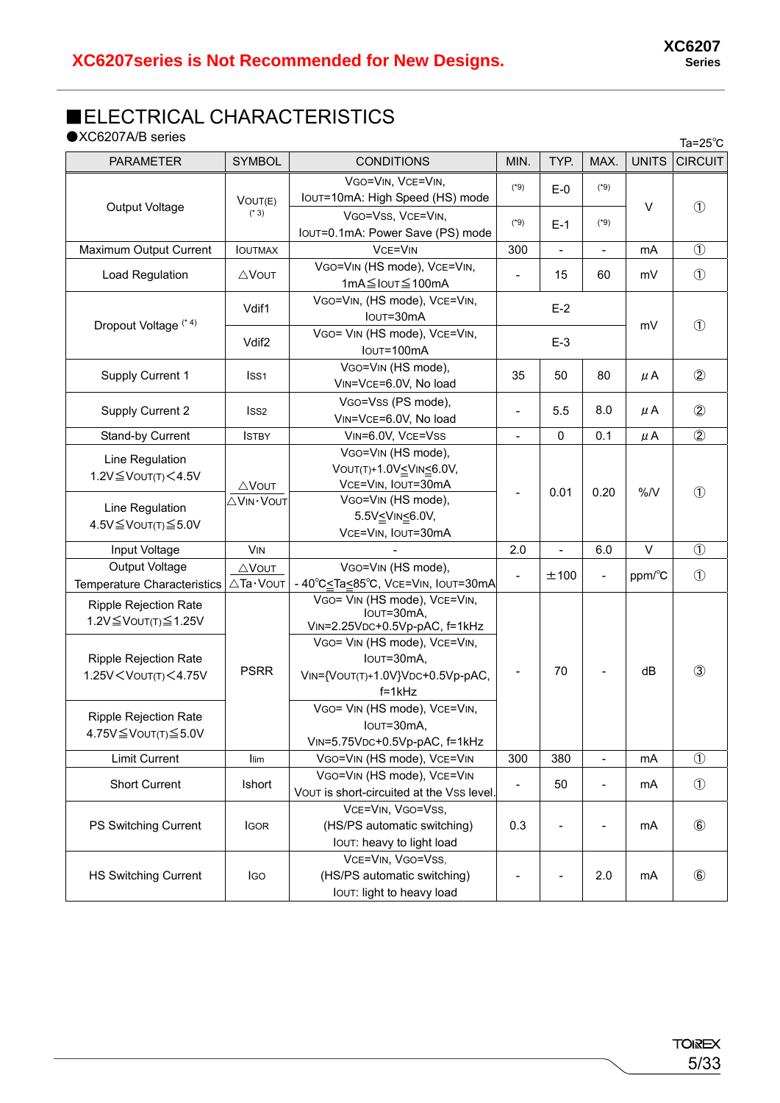### ■ELECTRICAL CHARACTERISTICS

 $\bullet$ XC6207A/B series Ta=25℃

| <b>PARAMETER</b>                                                                                                                                                                                                                               | <b>SYMBOL</b>                | <b>CONDITIONS</b>                                                                                                                                                                                                          | MIN.                      | TYP.                         | MAX.                     | <b>UNITS</b>  | 1a-20 U<br><b>CIRCUIT</b> |
|------------------------------------------------------------------------------------------------------------------------------------------------------------------------------------------------------------------------------------------------|------------------------------|----------------------------------------------------------------------------------------------------------------------------------------------------------------------------------------------------------------------------|---------------------------|------------------------------|--------------------------|---------------|---------------------------|
|                                                                                                                                                                                                                                                | VOUT(E)                      | VGO=VIN, VCE=VIN,<br>IOUT=10mA: High Speed (HS) mode                                                                                                                                                                       | $(*9)$                    | $E-0$                        | $(*9)$                   |               |                           |
| Output Voltage                                                                                                                                                                                                                                 | $(* 3)$                      | VGO=VSS, VCE=VIN,<br>IOUT=0.1mA: Power Save (PS) mode                                                                                                                                                                      | $(*9)$<br>$(*9)$<br>$E-1$ |                              | $\vee$                   | $\circled{1}$ |                           |
| Maximum Output Current                                                                                                                                                                                                                         | <b>IOUTMAX</b>               | <b>VCE=VIN</b>                                                                                                                                                                                                             | 300                       | $\qquad \qquad \blacksquare$ | $\overline{\phantom{0}}$ | mA            | $\circled{1}$             |
| Load Regulation                                                                                                                                                                                                                                | ∆Vout                        | VGO=VIN (HS mode), VCE=VIN,<br>1mA≦IouT≦100mA                                                                                                                                                                              | $\overline{\phantom{a}}$  | 15                           | 60                       | mV            | $\circled{1}$             |
| Dropout Voltage <sup>(*4)</sup>                                                                                                                                                                                                                | Vdif1                        | VGO=VIN, (HS mode), VCE=VIN,<br>IOUT=30mA                                                                                                                                                                                  |                           | $E-2$                        |                          | mV            | $\circled{1}$             |
|                                                                                                                                                                                                                                                | Vdif <sub>2</sub>            | VGO= VIN (HS mode), VCE=VIN,<br>Iout=100mA                                                                                                                                                                                 |                           | $E-3$                        |                          |               |                           |
| <b>Supply Current 1</b>                                                                                                                                                                                                                        | Iss <sub>1</sub>             | VGO=VIN (HS mode),<br>VIN=VCE=6.0V, No load                                                                                                                                                                                | 35                        | 50                           | 80                       | $\mu$ A       | $^{\circledR}$            |
| Supply Current 2                                                                                                                                                                                                                               | Iss <sub>2</sub>             | VGO=Vss (PS mode),<br>VIN=VCE=6.0V, No load                                                                                                                                                                                | $\overline{a}$            | 5.5                          | 8.0                      | μA            | $\circled{2}$             |
| <b>Stand-by Current</b>                                                                                                                                                                                                                        | <b>ISTBY</b>                 | VIN=6.0V, VCE=VSS                                                                                                                                                                                                          | $\blacksquare$            | 0                            | 0.1                      | μA            | $\circled{2}$             |
| Line Regulation<br>1.2V≦VOUT(T)<4.5V                                                                                                                                                                                                           | ∆Vout                        | VGO=VIN (HS mode),<br>VOUT(T)+1.0VVIN<br>6.0V,<br>VCE=VIN, IOUT=30mA                                                                                                                                                       |                           | 0.01                         | 0.20                     | %N            | $\circled{1}$             |
| Line Regulation<br>4.5V ≤ VOUT(T) ≤ 5.0V                                                                                                                                                                                                       | ∆VIN·VOUT                    | VGO=VIN (HS mode),<br>5.5VVIN<br>6.0V,<br>VCE=VIN, IOUT=30mA                                                                                                                                                               |                           |                              |                          |               |                           |
| Input Voltage                                                                                                                                                                                                                                  | <b>VIN</b>                   |                                                                                                                                                                                                                            | 2.0                       | $\frac{1}{2}$                | 6.0                      | $\sf V$       | $\circled{1}$             |
| Output Voltage<br><b>Temperature Characteristics</b>                                                                                                                                                                                           | $\triangle$ VOUT<br>∆Ta·Vout | VGO=VIN (HS mode),<br>-40°C <ta<85°c, iout="30mA&lt;/td" vce="VIN,"><td><math>\blacksquare</math></td><td>±100</td><td><math>\overline{\phantom{0}}</math></td><td>ppm/°C</td><td><math>\circled{1}</math></td></ta<85°c,> | $\blacksquare$            | ±100                         | $\overline{\phantom{0}}$ | ppm/°C        | $\circled{1}$             |
| Ripple Rejection Rate<br>1.2V ≤ VOUT(T) ≤ 1.25V<br><b>Ripple Rejection Rate</b>                                                                                                                                                                |                              | VGO= VIN (HS mode), VCE=VIN,<br>IOUT=30mA,<br>VIN=2.25VDC+0.5Vp-pAC, f=1kHz<br>VGO= VIN (HS mode), VCE=VIN,<br>IOUT=30mA,                                                                                                  |                           |                              |                          |               |                           |
| 1.25V <vout(t)<4.75v< td=""><td><b>PSRR</b></td><td>VIN={VOUT(T)+1.0V}VDC+0.5Vp-pAC,<br/><math>f = 1kHz</math><br/>VGO= VIN (HS mode), VCE=VIN,</td><td></td><td>70</td><td></td><td>dB</td><td><math>\circled{3}</math></td></vout(t)<4.75v<> | <b>PSRR</b>                  | VIN={VOUT(T)+1.0V}VDC+0.5Vp-pAC,<br>$f = 1kHz$<br>VGO= VIN (HS mode), VCE=VIN,                                                                                                                                             |                           | 70                           |                          | dB            | $\circled{3}$             |
| <b>Ripple Rejection Rate</b><br>4.75V≦Vout(T)≦5.0V                                                                                                                                                                                             |                              | IOUT=30mA,<br>VIN=5.75VDC+0.5Vp-pAC, f=1kHz                                                                                                                                                                                |                           |                              |                          |               |                           |
| <b>Limit Current</b>                                                                                                                                                                                                                           | llim                         | VGO=VIN (HS mode), VCE=VIN                                                                                                                                                                                                 | 300                       | 380                          |                          | mA            | $\circled{1}$             |
| <b>Short Current</b>                                                                                                                                                                                                                           | Ishort                       | VGO=VIN (HS mode), VCE=VIN<br>VOUT is short-circuited at the Vss level.                                                                                                                                                    |                           | 50                           |                          | mA            | $\circled{1}$             |
| PS Switching Current                                                                                                                                                                                                                           | <b>IGOR</b>                  | VCE=VIN, VGO=VSS,<br>(HS/PS automatic switching)<br>IOUT: heavy to light load                                                                                                                                              | 0.3                       |                              |                          | mA            | $^{\circ}$                |
| <b>HS Switching Current</b>                                                                                                                                                                                                                    | <b>IGO</b>                   | VCE=VIN, VGO=VSS,<br>(HS/PS automatic switching)<br>lout: light to heavy load                                                                                                                                              |                           |                              | 2.0                      | mA            | $\circledast$             |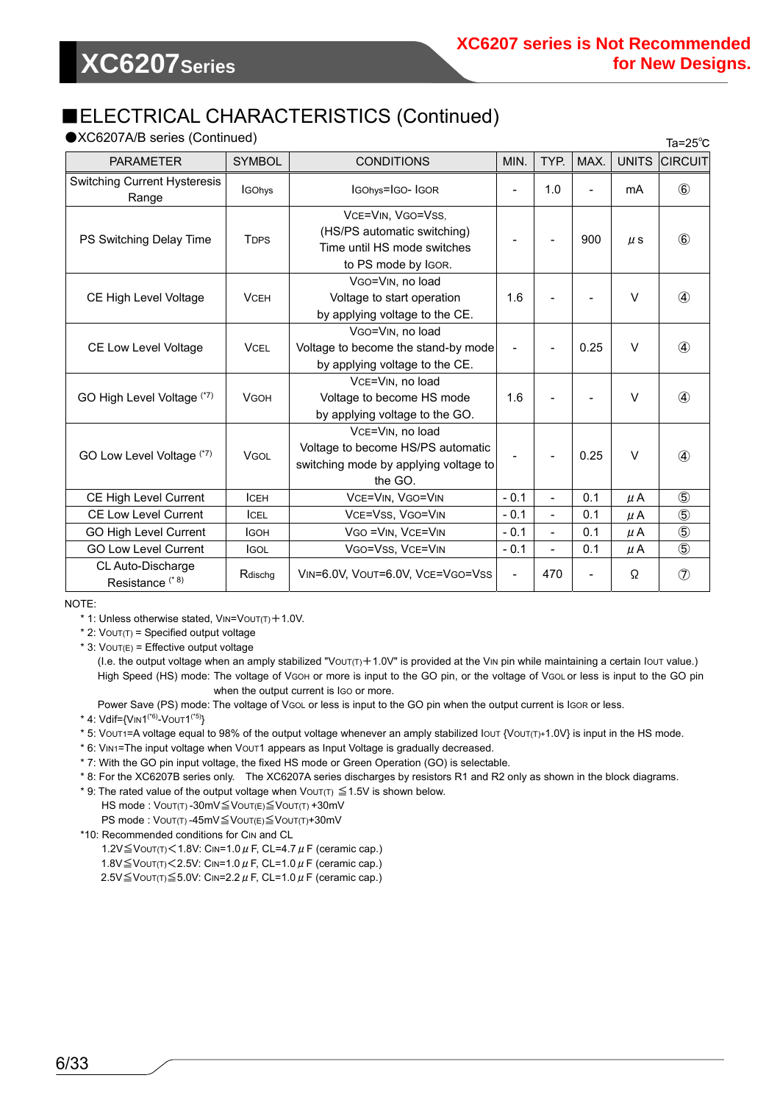### ■ELECTRICAL CHARACTERISTICS (Continued)

 $\bullet$ XC6207A/B series (Continued)  $\bullet$  25 $^{\circ}$ 

| $\lambda$ 002017 VD 301103 (OOITUITOOG)<br>$1a = 25^\circ C$ |                                                                                                |                                                                                                           |                          |                          |      |              |                |
|--------------------------------------------------------------|------------------------------------------------------------------------------------------------|-----------------------------------------------------------------------------------------------------------|--------------------------|--------------------------|------|--------------|----------------|
| <b>PARAMETER</b>                                             | <b>SYMBOL</b>                                                                                  | <b>CONDITIONS</b><br>MIN.                                                                                 |                          | TYP.                     | MAX. | <b>UNITS</b> | <b>CIRCUIT</b> |
| <b>Switching Current Hysteresis</b><br>Range                 | <b>IGOhys</b>                                                                                  | IGOhys=IGO-IGOR                                                                                           |                          | 1.0                      |      | mA           | $^{\circledR}$ |
| PS Switching Delay Time                                      | <b>T</b> <sub>DPS</sub>                                                                        | VCE=VIN, VGO=VSS,<br>(HS/PS automatic switching)<br>Time until HS mode switches<br>to PS mode by IGOR.    |                          |                          | 900  | $\mu$ s      | $\circledast$  |
| CE High Level Voltage                                        | <b>VCEH</b>                                                                                    | VGO=VIN, no load<br>Voltage to start operation<br>by applying voltage to the CE.                          |                          |                          |      | $\vee$       | $\circled{4}$  |
| <b>CE Low Level Voltage</b>                                  | <b>VCEL</b>                                                                                    | VGO=VIN, no load<br>Voltage to become the stand-by mode<br>by applying voltage to the CE.                 |                          |                          | 0.25 | $\vee$       | 4              |
| GO High Level Voltage (*7)                                   | VCE=VIN, no load<br>Voltage to become HS mode<br><b>VGOH</b><br>by applying voltage to the GO. |                                                                                                           | 1.6                      |                          |      | $\vee$       | ④              |
| GO Low Level Voltage (*7)                                    | <b>VGOL</b>                                                                                    | VCE=VIN. no load<br>Voltage to become HS/PS automatic<br>switching mode by applying voltage to<br>the GO. |                          |                          | 0.25 | $\vee$       | 4              |
| <b>CE High Level Current</b>                                 | ICEH                                                                                           | VCE=VIN, VGO=VIN                                                                                          | $-0.1$                   | $\overline{\phantom{0}}$ | 0.1  | $\mu$ A      | $\circledS$    |
| <b>CE Low Level Current</b>                                  | ICEL                                                                                           | VCE=VSS, VGO=VIN                                                                                          | $-0.1$                   | $\frac{1}{2}$            | 0.1  | μA           | $\circledS$    |
| <b>GO High Level Current</b>                                 | <b>I</b> GOH                                                                                   | VGO = VIN, VCE=VIN                                                                                        |                          | $\overline{\phantom{0}}$ | 0.1  | $\mu$ A      | $\circledS$    |
| <b>GO Low Level Current</b>                                  | <b>IGOL</b>                                                                                    | VGO=VSS, VCE=VIN                                                                                          | $-0.1$                   |                          | 0.1  | $\mu$ A      | $\circledS$    |
| CL Auto-Discharge<br>Resistance <sup>(* 8)</sup>             | Rdischg                                                                                        | VIN=6.0V, VOUT=6.0V, VCE=VGO=VSS                                                                          | $\overline{\phantom{a}}$ | 470                      |      | Ω            | $\circledcirc$ |

NOTE:

\* 1: Unless otherwise stated, VIN=VOUT(T)+1.0V.

 $*$  2:  $V$ OUT(T) = Specified output voltage

 $*$  3:  $V$ OUT(E) = Effective output voltage

(I.e. the output voltage when an amply stabilized "Vout( $t$ )+1.0V" is provided at the VIN pin while maintaining a certain lout value.) High Speed (HS) mode: The voltage of VGOH or more is input to the GO pin, or the voltage of VGOL or less is input to the GO pin when the output current is IGO or more.

Power Save (PS) mode: The voltage of VGOL or less is input to the GO pin when the output current is IGOR or less.

\* 4: Vdif={VIN1(\*6)-VOUT1(\*5)}

\* 5: VOUT1=A voltage equal to 98% of the output voltage whenever an amply stabilized IOUT {VOUT(T)+1.0V} is input in the HS mode.

\* 6: VIN1=The input voltage when VOUT1 appears as Input Voltage is gradually decreased.

\* 7: With the GO pin input voltage, the fixed HS mode or Green Operation (GO) is selectable.

\* 8: For the XC6207B series only. The XC6207A series discharges by resistors R1 and R2 only as shown in the block diagrams.

\* 9: The rated value of the output voltage when  $V$ OUT(T)  $\leq$  1.5V is shown below.

HS mode : VOUT(T) -30mV≦VOUT(E)≦VOUT(T) +30mV

PS mode : VOUT(T)-45mV≦VOUT(E)≦VOUT(T)+30mV \*10: Recommended conditions for CIN and CL

1.2V $\leq$ VOUT(T) $<$ 1.8V: CIN=1.0  $\mu$  F, CL=4.7  $\mu$  F (ceramic cap.) 1.8V $\leq$ VOUT(T) $<$ 2.5V: CIN=1.0  $\mu$  F, CL=1.0  $\mu$  F (ceramic cap.) 2.5V $\leq$ Vout(t) $\leq$ 5.0V: CIN=2.2  $\mu$  F, CL=1.0  $\mu$  F (ceramic cap.)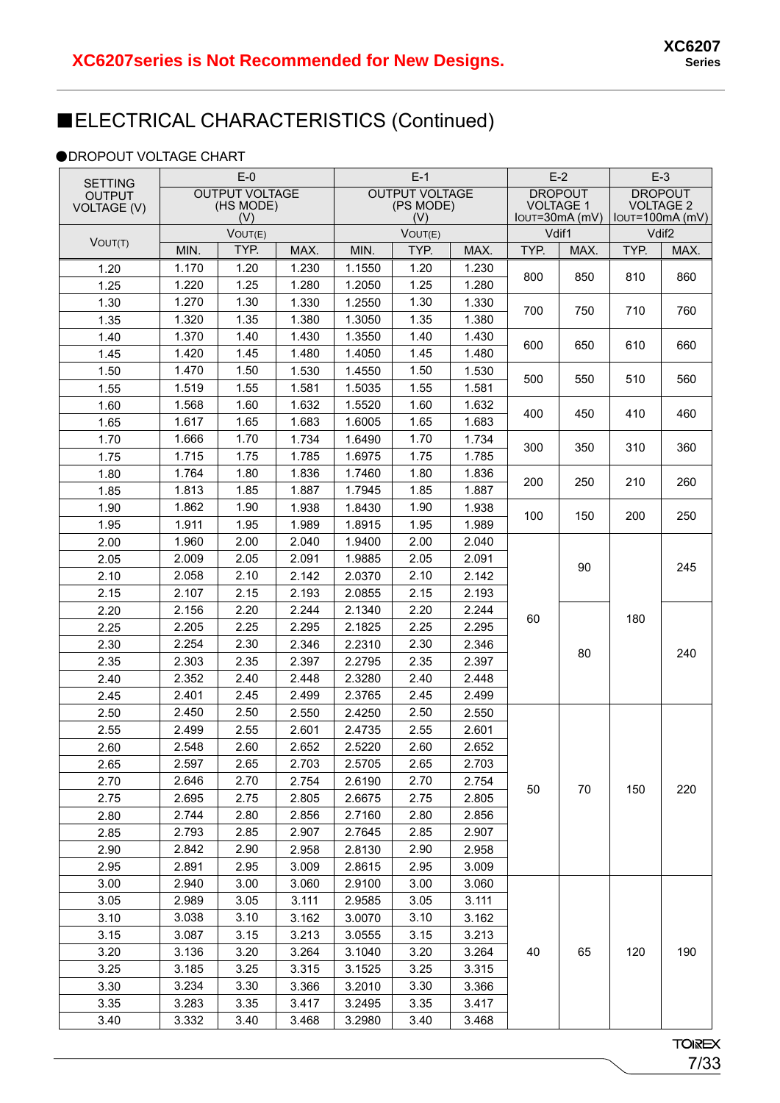### ■ELECTRICAL CHARACTERISTICS (Continued)

#### **ODROPOUT VOLTAGE CHART**

| <b>SETTING</b>     |                  | $E-0$                 |         |                  | $E-1$                 |       |                                      | $E-2$ |                | $E-3$                                 |  |
|--------------------|------------------|-----------------------|---------|------------------|-----------------------|-------|--------------------------------------|-------|----------------|---------------------------------------|--|
| <b>OUTPUT</b>      |                  | <b>OUTPUT VOLTAGE</b> |         |                  | <b>OUTPUT VOLTAGE</b> |       | <b>DROPOUT</b>                       |       | <b>DROPOUT</b> |                                       |  |
| <b>VOLTAGE (V)</b> | (HS MODE)<br>(V) |                       |         | (PS MODE)<br>(V) |                       |       | <b>VOLTAGE 1</b><br>$IOUT=30mA$ (mV) |       |                | <b>VOLTAGE 2</b><br>$IOUT=100mA$ (mV) |  |
|                    | VOUT(E)          |                       | VOUT(E) |                  | Vdif1                 |       | Vdif <sub>2</sub>                    |       |                |                                       |  |
| VOUT(T)            | MIN.             | TYP.                  | MAX.    | MIN.             | TYP.                  | MAX.  | TYP.                                 | MAX.  | TYP.           | MAX.                                  |  |
| 1.20               | 1.170            | 1.20                  | 1.230   | 1.1550           | 1.20                  | 1.230 |                                      |       |                |                                       |  |
| 1.25               | 1.220            | 1.25                  | 1.280   | 1.2050           | 1.25                  | 1.280 | 800                                  | 850   | 810            | 860                                   |  |
| 1.30               | 1.270            | 1.30                  | 1.330   | 1.2550           | 1.30                  | 1.330 |                                      |       |                |                                       |  |
| 1.35               | 1.320            | 1.35                  | 1.380   | 1.3050           | 1.35                  | 1.380 | 700                                  | 750   | 710            | 760                                   |  |
| 1.40               | 1.370            | 1.40                  | 1.430   | 1.3550           | 1.40                  | 1.430 |                                      |       |                |                                       |  |
| 1.45               | 1.420            | 1.45                  | 1.480   | 1.4050           | 1.45                  | 1.480 | 600                                  | 650   | 610            | 660                                   |  |
| 1.50               | 1.470            | 1.50                  | 1.530   | 1.4550           | 1.50                  | 1.530 |                                      |       |                |                                       |  |
| 1.55               | 1.519            | 1.55                  | 1.581   | 1.5035           | 1.55                  | 1.581 | 500                                  | 550   | 510            | 560                                   |  |
| 1.60               | 1.568            | 1.60                  | 1.632   | 1.5520           | 1.60                  | 1.632 |                                      |       |                |                                       |  |
| 1.65               | 1.617            | 1.65                  | 1.683   | 1.6005           | 1.65                  | 1.683 | 400                                  | 450   | 410            | 460                                   |  |
| 1.70               | 1.666            | 1.70                  | 1.734   | 1.6490           | 1.70                  | 1.734 | 300                                  | 350   | 310            | 360                                   |  |
| 1.75               | 1.715            | 1.75                  | 1.785   | 1.6975           | 1.75                  | 1.785 |                                      |       |                |                                       |  |
| 1.80               | 1.764            | 1.80                  | 1.836   | 1.7460           | 1.80                  | 1.836 | 200                                  | 250   | 210            | 260                                   |  |
| 1.85               | 1.813            | 1.85                  | 1.887   | 1.7945           | 1.85                  | 1.887 |                                      |       |                |                                       |  |
| 1.90               | 1.862            | 1.90                  | 1.938   | 1.8430           | 1.90                  | 1.938 | 100                                  | 150   | 200            | 250                                   |  |
| 1.95               | 1.911            | 1.95                  | 1.989   | 1.8915           | 1.95                  | 1.989 |                                      |       |                |                                       |  |
| 2.00               | 1.960            | 2.00                  | 2.040   | 1.9400           | 2.00                  | 2.040 |                                      |       |                | 245                                   |  |
| 2.05               | 2.009            | 2.05                  | 2.091   | 1.9885           | 2.05                  | 2.091 | 60                                   | 90    |                |                                       |  |
| 2.10               | 2.058            | 2.10                  | 2.142   | 2.0370           | 2.10                  | 2.142 |                                      |       |                |                                       |  |
| 2.15               | 2.107            | 2.15                  | 2.193   | 2.0855           | 2.15                  | 2.193 |                                      |       |                |                                       |  |
| 2.20               | 2.156            | 2.20                  | 2.244   | 2.1340           | 2.20                  | 2.244 |                                      |       | 180            |                                       |  |
| 2.25               | 2.205            | 2.25                  | 2.295   | 2.1825           | 2.25                  | 2.295 |                                      |       |                |                                       |  |
| 2.30               | 2.254            | 2.30                  | 2.346   | 2.2310           | 2.30                  | 2.346 |                                      | 80    |                | 240                                   |  |
| 2.35               | 2.303            | 2.35                  | 2.397   | 2.2795           | 2.35                  | 2.397 |                                      |       |                |                                       |  |
| 2.40               | 2.352            | 2.40                  | 2.448   | 2.3280           | 2.40                  | 2.448 |                                      |       |                |                                       |  |
| 2.45               | 2.401            | 2.45                  | 2.499   | 2.3765           | 2.45                  | 2.499 |                                      |       |                |                                       |  |
| 2.50               | 2.450            | 2.50                  | 2.550   | 2.4250           | 2.50                  | 2.550 |                                      |       |                |                                       |  |
| 2.55               | 2.499            | 2.55                  | 2.601   | 2.4735           | 2.55                  | 2.601 |                                      |       |                |                                       |  |
| 2.60               | 2.548            | 2.60                  | 2.652   | 2.5220           | 2.60                  | 2.652 |                                      |       |                |                                       |  |
| 2.65               | 2.597            | 2.65                  | 2.703   | 2.5705           | 2.65                  | 2.703 |                                      |       |                |                                       |  |
| 2.70               | 2.646            | 2.70                  | 2.754   | 2.6190           | 2.70                  | 2.754 | 50                                   | 70    | 150            | 220                                   |  |
| 2.75               | 2.695            | 2.75                  | 2.805   | 2.6675           | 2.75                  | 2.805 |                                      |       |                |                                       |  |
| 2.80               | 2.744            | 2.80                  | 2.856   | 2.7160           | 2.80                  | 2.856 |                                      |       |                |                                       |  |
| 2.85               | 2.793            | 2.85                  | 2.907   | 2.7645           | 2.85                  | 2.907 |                                      |       |                |                                       |  |
| 2.90               | 2.842            | 2.90                  | 2.958   | 2.8130           | 2.90                  | 2.958 |                                      |       |                |                                       |  |
| 2.95               | 2.891            | 2.95                  | 3.009   | 2.8615           | 2.95                  | 3.009 |                                      |       |                |                                       |  |
| 3.00               | 2.940            | 3.00                  | 3.060   | 2.9100           | 3.00                  | 3.060 |                                      |       |                |                                       |  |
| 3.05               | 2.989            | 3.05                  | 3.111   | 2.9585           | 3.05                  | 3.111 |                                      |       |                |                                       |  |
| 3.10               | 3.038            | 3.10                  | 3.162   | 3.0070           | 3.10                  | 3.162 |                                      |       |                |                                       |  |
| 3.15               | 3.087            | 3.15                  | 3.213   | 3.0555           | 3.15                  | 3.213 |                                      |       |                |                                       |  |
| 3.20               | 3.136            | 3.20                  | 3.264   | 3.1040           | 3.20                  | 3.264 | 40                                   | 65    | 120            | 190                                   |  |
| 3.25               | 3.185            | 3.25                  | 3.315   | 3.1525           | 3.25                  | 3.315 |                                      |       |                |                                       |  |
| 3.30               | 3.234            | 3.30                  | 3.366   | 3.2010           | 3.30                  | 3.366 |                                      |       |                |                                       |  |
| 3.35               | 3.283            | 3.35                  | 3.417   | 3.2495           | 3.35                  | 3.417 |                                      |       |                |                                       |  |
| 3.40               | 3.332            | 3.40                  | 3.468   | 3.2980           | 3.40                  | 3.468 |                                      |       |                |                                       |  |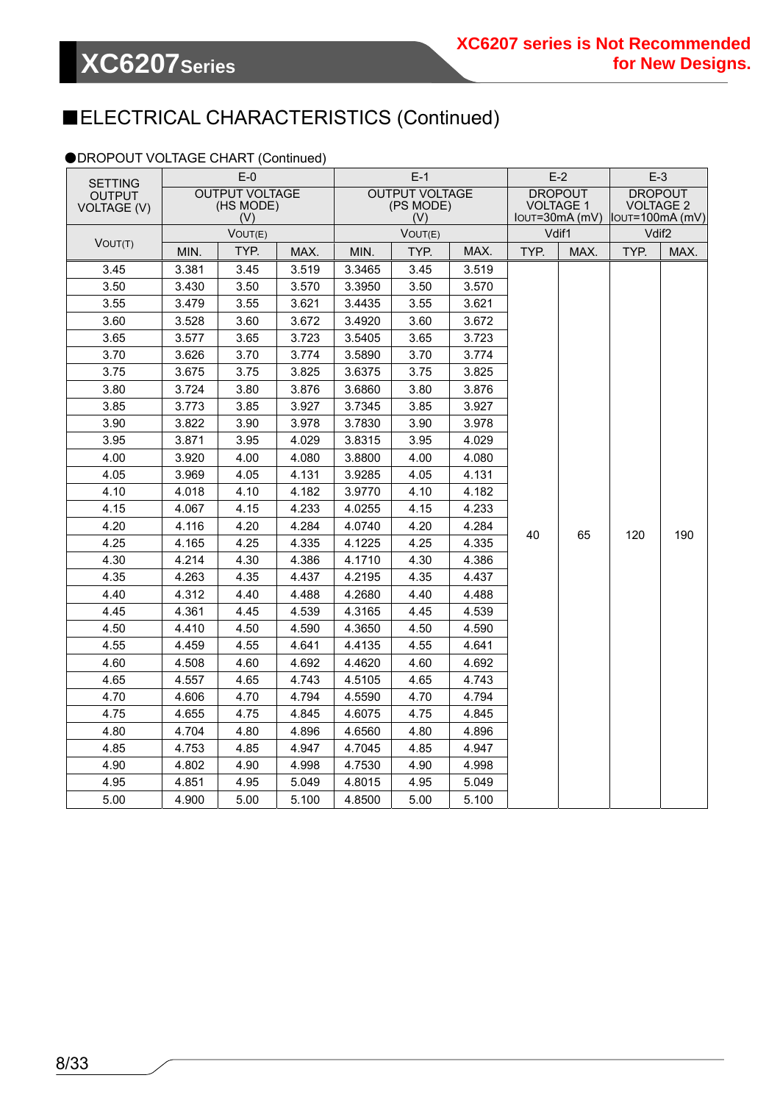### ■ELECTRICAL CHARACTERISTICS (Continued)

#### ●DROPOUT VOLTAGE CHART (Continued)

| <b>SETTING</b>                      |                                           | $E-0$   |       |                                           | $E-1$   |       |                                    | $E-2$ | $E-3$                                                                  |      |
|-------------------------------------|-------------------------------------------|---------|-------|-------------------------------------------|---------|-------|------------------------------------|-------|------------------------------------------------------------------------|------|
| <b>OUTPUT</b><br><b>VOLTAGE (V)</b> | <b>OUTPUT VOLTAGE</b><br>(HS MODE)<br>(V) |         |       | <b>OUTPUT VOLTAGE</b><br>(PS MODE)<br>(V) |         |       | <b>DROPOUT</b><br><b>VOLTAGE 1</b> |       | <b>DROPOUT</b><br><b>VOLTAGE 2</b><br>$IOUT=30mA(mV)$ $IOUT=100mA(mV)$ |      |
|                                     |                                           | VOUT(E) |       |                                           | VOUT(E) |       |                                    | Vdif1 | Vdif <sub>2</sub>                                                      |      |
| VOUT(T)                             | MIN.                                      | TYP.    | MAX.  | MIN.                                      | TYP.    | MAX.  | TYP.                               | MAX.  | TYP.                                                                   | MAX. |
| 3.45                                | 3.381                                     | 3.45    | 3.519 | 3.3465                                    | 3.45    | 3.519 |                                    |       |                                                                        |      |
| 3.50                                | 3.430                                     | 3.50    | 3.570 | 3.3950                                    | 3.50    | 3.570 |                                    |       |                                                                        |      |
| 3.55                                | 3.479                                     | 3.55    | 3.621 | 3.4435                                    | 3.55    | 3.621 |                                    |       |                                                                        |      |
| 3.60                                | 3.528                                     | 3.60    | 3.672 | 3.4920                                    | 3.60    | 3.672 |                                    |       |                                                                        |      |
| 3.65                                | 3.577                                     | 3.65    | 3.723 | 3.5405                                    | 3.65    | 3.723 |                                    |       |                                                                        |      |
| 3.70                                | 3.626                                     | 3.70    | 3.774 | 3.5890                                    | 3.70    | 3.774 |                                    |       |                                                                        |      |
| 3.75                                | 3.675                                     | 3.75    | 3.825 | 3.6375                                    | 3.75    | 3.825 |                                    |       |                                                                        |      |
| 3.80                                | 3.724                                     | 3.80    | 3.876 | 3.6860                                    | 3.80    | 3.876 |                                    |       |                                                                        |      |
| 3.85                                | 3.773                                     | 3.85    | 3.927 | 3.7345                                    | 3.85    | 3.927 |                                    |       |                                                                        |      |
| 3.90                                | 3.822                                     | 3.90    | 3.978 | 3.7830                                    | 3.90    | 3.978 |                                    |       |                                                                        |      |
| 3.95                                | 3.871                                     | 3.95    | 4.029 | 3.8315                                    | 3.95    | 4.029 |                                    |       |                                                                        |      |
| 4.00                                | 3.920                                     | 4.00    | 4.080 | 3.8800                                    | 4.00    | 4.080 |                                    |       |                                                                        |      |
| 4.05                                | 3.969                                     | 4.05    | 4.131 | 3.9285                                    | 4.05    | 4.131 |                                    |       |                                                                        |      |
| 4.10                                | 4.018                                     | 4.10    | 4.182 | 3.9770                                    | 4.10    | 4.182 |                                    |       |                                                                        |      |
| 4.15                                | 4.067                                     | 4.15    | 4.233 | 4.0255                                    | 4.15    | 4.233 |                                    |       |                                                                        |      |
| 4.20                                | 4.116                                     | 4.20    | 4.284 | 4.0740                                    | 4.20    | 4.284 | 40                                 | 65    | 120                                                                    | 190  |
| 4.25                                | 4.165                                     | 4.25    | 4.335 | 4.1225                                    | 4.25    | 4.335 |                                    |       |                                                                        |      |
| 4.30                                | 4.214                                     | 4.30    | 4.386 | 4.1710                                    | 4.30    | 4.386 |                                    |       |                                                                        |      |
| 4.35                                | 4.263                                     | 4.35    | 4.437 | 4.2195                                    | 4.35    | 4.437 |                                    |       |                                                                        |      |
| 4.40                                | 4.312                                     | 4.40    | 4.488 | 4.2680                                    | 4.40    | 4.488 |                                    |       |                                                                        |      |
| 4.45                                | 4.361                                     | 4.45    | 4.539 | 4.3165                                    | 4.45    | 4.539 |                                    |       |                                                                        |      |
| 4.50                                | 4.410                                     | 4.50    | 4.590 | 4.3650                                    | 4.50    | 4.590 |                                    |       |                                                                        |      |
| 4.55                                | 4.459                                     | 4.55    | 4.641 | 4.4135                                    | 4.55    | 4.641 |                                    |       |                                                                        |      |
| 4.60                                | 4.508                                     | 4.60    | 4.692 | 4.4620                                    | 4.60    | 4.692 |                                    |       |                                                                        |      |
| 4.65                                | 4.557                                     | 4.65    | 4.743 | 4.5105                                    | 4.65    | 4.743 |                                    |       |                                                                        |      |
| 4.70                                | 4.606                                     | 4.70    | 4.794 | 4.5590                                    | 4.70    | 4.794 |                                    |       |                                                                        |      |
| 4.75                                | 4.655                                     | 4.75    | 4.845 | 4.6075                                    | 4.75    | 4.845 |                                    |       |                                                                        |      |
| 4.80                                | 4.704                                     | 4.80    | 4.896 | 4.6560                                    | 4.80    | 4.896 |                                    |       |                                                                        |      |
| 4.85                                | 4.753                                     | 4.85    | 4.947 | 4.7045                                    | 4.85    | 4.947 |                                    |       |                                                                        |      |
| 4.90                                | 4.802                                     | 4.90    | 4.998 | 4.7530                                    | 4.90    | 4.998 |                                    |       |                                                                        |      |
| 4.95                                | 4.851                                     | 4.95    | 5.049 | 4.8015                                    | 4.95    | 5.049 |                                    |       |                                                                        |      |
| 5.00                                | 4.900                                     | 5.00    | 5.100 | 4.8500                                    | 5.00    | 5.100 |                                    |       |                                                                        |      |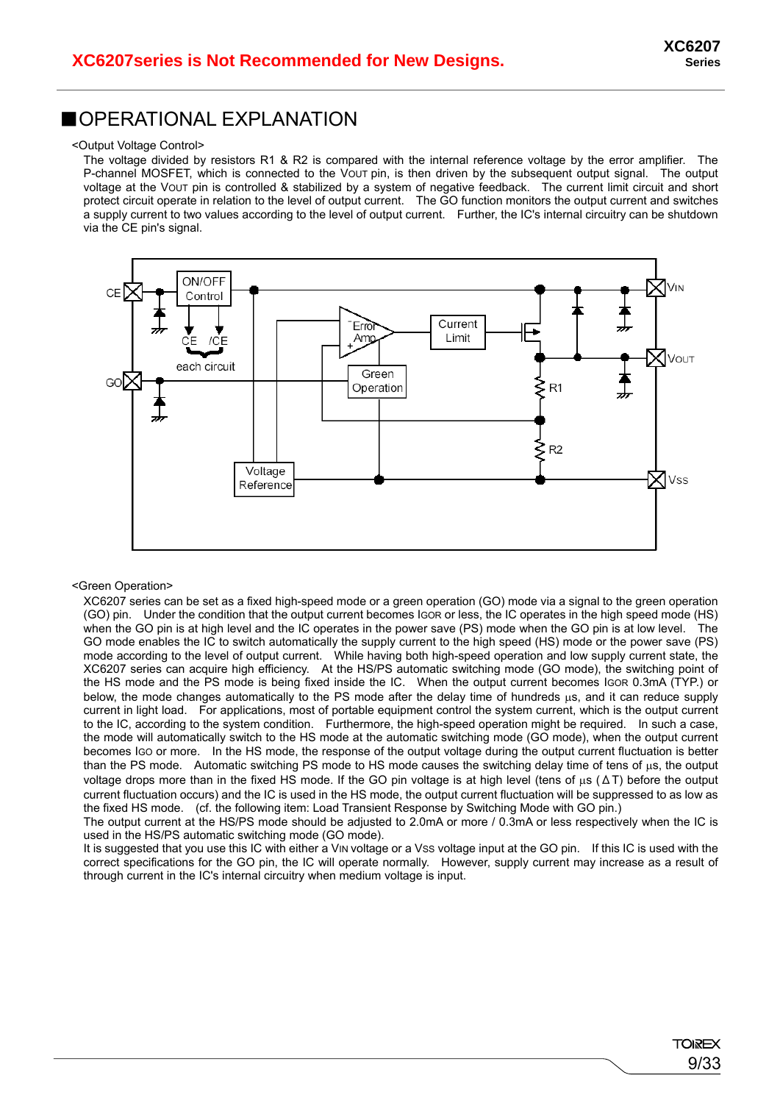#### ■OPERATIONAL EXPLANATION

#### <Output Voltage Control>

The voltage divided by resistors R1 & R2 is compared with the internal reference voltage by the error amplifier. The P-channel MOSFET, which is connected to the VOUT pin, is then driven by the subsequent output signal. The output voltage at the VOUT pin is controlled & stabilized by a system of negative feedback. The current limit circuit and short protect circuit operate in relation to the level of output current. The GO function monitors the output current and switches a supply current to two values according to the level of output current. Further, the IC's internal circuitry can be shutdown via the CE pin's signal.



#### <Green Operation>

XC6207 series can be set as a fixed high-speed mode or a green operation (GO) mode via a signal to the green operation (GO) pin. Under the condition that the output current becomes IGOR or less, the IC operates in the high speed mode (HS) when the GO pin is at high level and the IC operates in the power save (PS) mode when the GO pin is at low level. The GO mode enables the IC to switch automatically the supply current to the high speed (HS) mode or the power save (PS) mode according to the level of output current. While having both high-speed operation and low supply current state, the XC6207 series can acquire high efficiency. At the HS/PS automatic switching mode (GO mode), the switching point of the HS mode and the PS mode is being fixed inside the IC. When the output current becomes IGOR 0.3mA (TYP.) or below, the mode changes automatically to the PS mode after the delay time of hundreds us, and it can reduce supply current in light load. For applications, most of portable equipment control the system current, which is the output current to the IC, according to the system condition. Furthermore, the high-speed operation might be required. In such a case, the mode will automatically switch to the HS mode at the automatic switching mode (GO mode), when the output current becomes IGO or more. In the HS mode, the response of the output voltage during the output current fluctuation is better than the PS mode. Automatic switching PS mode to HS mode causes the switching delay time of tens of us, the output voltage drops more than in the fixed HS mode. If the GO pin voltage is at high level (tens of us ( $\Delta T$ ) before the output current fluctuation occurs) and the IC is used in the HS mode, the output current fluctuation will be suppressed to as low as the fixed HS mode. (cf. the following item: Load Transient Response by Switching Mode with GO pin.)

The output current at the HS/PS mode should be adjusted to 2.0mA or more / 0.3mA or less respectively when the IC is used in the HS/PS automatic switching mode (GO mode).

It is suggested that you use this IC with either a VIN voltage or a VSS voltage input at the GO pin. If this IC is used with the correct specifications for the GO pin, the IC will operate normally. However, supply current may increase as a result of through current in the IC's internal circuitry when medium voltage is input.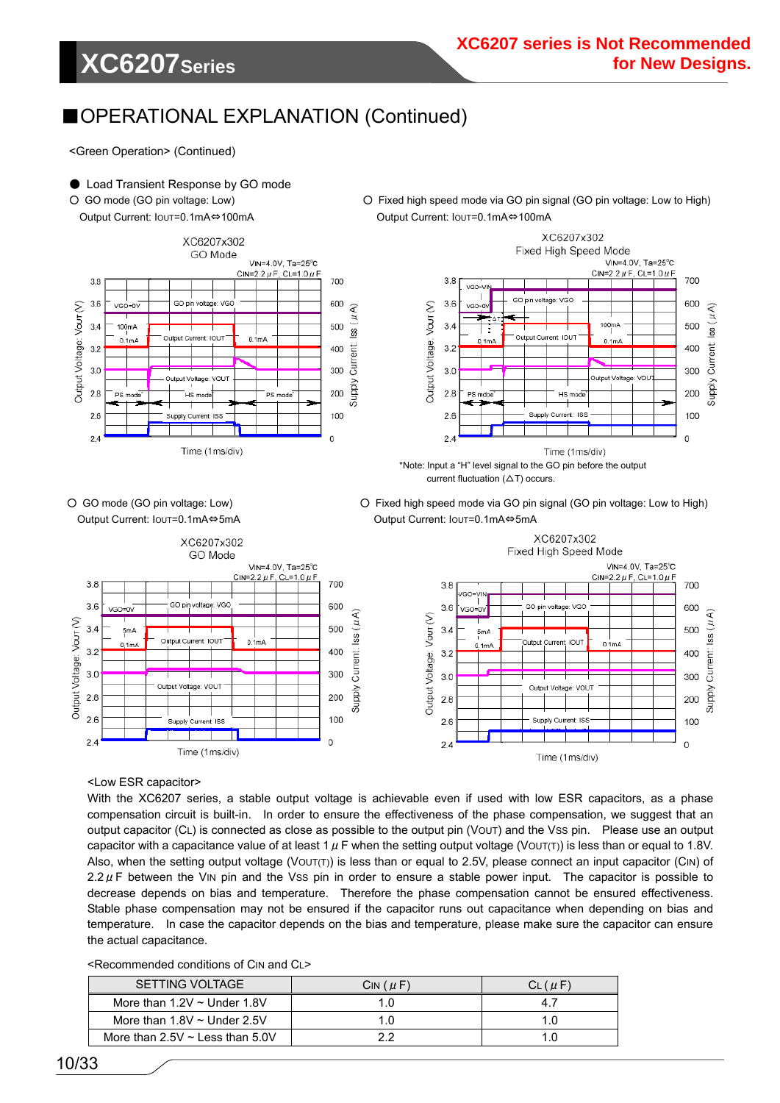# **XC6207Series**

### ■OPERATIONAL EXPLANATION (Continued)

<Green Operation> (Continued)

#### ● Load Transient Response by GO mode

O GO mode (GO pin voltage: Low) **O** Fixed high speed mode via GO pin signal (GO pin voltage: Low to High)

Output Current: IOUT=0.1mA⇔100mA Output Current: IOUT=0.1mA⇔100mA





current fluctuation  $(\Delta T)$  occurs.



O GO mode (GO pin voltage: Low) **O** Fixed high speed mode via GO pin signal (GO pin voltage: Low to High) Output Current: IOUT=0.1mA⇔5mA Output Current: IOUT=0.1mA⇔5mA



<Low ESR capacitor>

With the XC6207 series, a stable output voltage is achievable even if used with low ESR capacitors, as a phase compensation circuit is built-in. In order to ensure the effectiveness of the phase compensation, we suggest that an output capacitor (CL) is connected as close as possible to the output pin (VOUT) and the VSS pin. Please use an output capacitor with a capacitance value of at least 1  $\mu$  F when the setting output voltage (VOUT(T)) is less than or equal to 1.8V. Also, when the setting output voltage (VOUT(T)) is less than or equal to 2.5V, please connect an input capacitor (CIN) of 2.2  $\mu$  F between the VIN pin and the Vss pin in order to ensure a stable power input. The capacitor is possible to decrease depends on bias and temperature. Therefore the phase compensation cannot be ensured effectiveness. Stable phase compensation may not be ensured if the capacitor runs out capacitance when depending on bias and temperature. In case the capacitor depends on the bias and temperature, please make sure the capacitor can ensure the actual capacitance.

<Recommended conditions of CIN and CL>

| SETTING VOLTAGE                        | $CIN(\mu F)$ | $CL$ ( $\mu$ F) |
|----------------------------------------|--------------|-----------------|
| More than $1.2V \sim$ Under 1.8V       | 1.0          |                 |
| More than $1.8V \sim$ Under 2.5V       | 1.0          | 1 ()            |
| More than $2.5V \sim$ Less than $5.0V$ | າາ           |                 |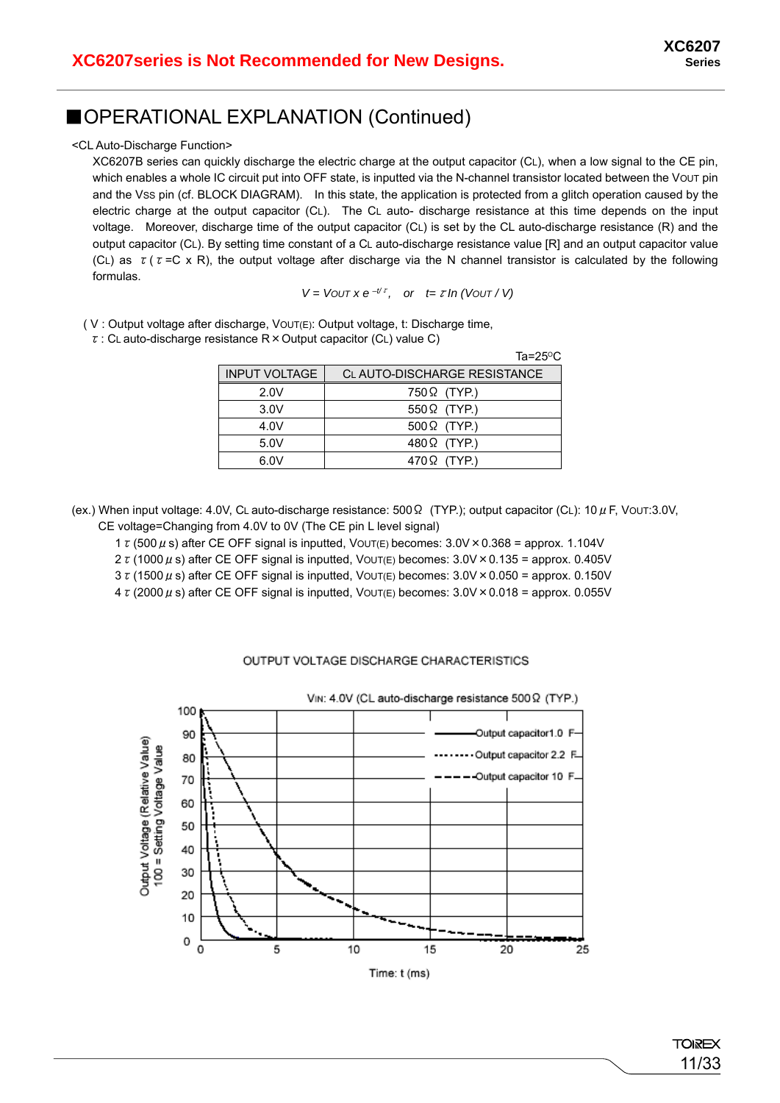### ■OPERATIONAL EXPLANATION (Continued)

<CL Auto-Discharge Function>

XC6207B series can quickly discharge the electric charge at the output capacitor (CL), when a low signal to the CE pin, which enables a whole IC circuit put into OFF state, is inputted via the N-channel transistor located between the Vout pin and the Vss pin (cf. BLOCK DIAGRAM). In this state, the application is protected from a glitch operation caused by the electric charge at the output capacitor (CL). The CL auto- discharge resistance at this time depends on the input voltage. Moreover, discharge time of the output capacitor (CL) is set by the CL auto-discharge resistance (R) and the output capacitor (CL). By setting time constant of a CL auto-discharge resistance value [R] and an output capacitor value (CL) as  $\tau(\tau = C \times R)$ , the output voltage after discharge via the N channel transistor is calculated by the following formulas.

*V* = *VOUT x e*  $-t/z$ , *or t=τ ln (VOUT / V)* 

( V : Output voltage after discharge, VOUT(E): Output voltage, t: Discharge time,

 $\tau$ : CL auto-discharge resistance R  $\times$  Output capacitor (CL) value C)

|                      | Ta= $25^{\circ}$ C           |
|----------------------|------------------------------|
| <b>INPUT VOLTAGE</b> | CL AUTO-DISCHARGE RESISTANCE |
| 2.0V                 | 750Ω (TYP.)                  |
| 3.0V                 | $550\Omega$ (TYP.)           |
| 4.0V                 | $500\Omega$ (TYP.)           |
| 5.0V                 | $480\Omega$ (TYP.)           |
| 6.0V                 | $470\Omega$ (TYP.)           |

(ex.) When input voltage: 4.0V, CL auto-discharge resistance: 500 $\Omega$  (TYP.); output capacitor (CL): 10  $\mu$  F, Vout:3.0V, CE voltage=Changing from 4.0V to 0V (The CE pin L level signal)

1  $\tau$  (500  $\mu$  s) after CE OFF signal is inputted, VOUT(E) becomes:  $3.0V \times 0.368 =$  approx. 1.104V

2  $\tau$  (1000  $\mu$  s) after CE OFF signal is inputted, VOUT(E) becomes:  $3.0V \times 0.135$  = approx. 0.405V

 $3 \tau$  (1500  $\mu$  s) after CE OFF signal is inputted, VOUT(E) becomes:  $3.0V \times 0.050 =$  approx. 0.150V

4  $\tau$  (2000  $\mu$  s) after CE OFF signal is inputted, VOUT(E) becomes: 3.0V × 0.018 = approx. 0.055V

#### OUTPUT VOLTAGE DISCHARGE CHARACTERISTICS

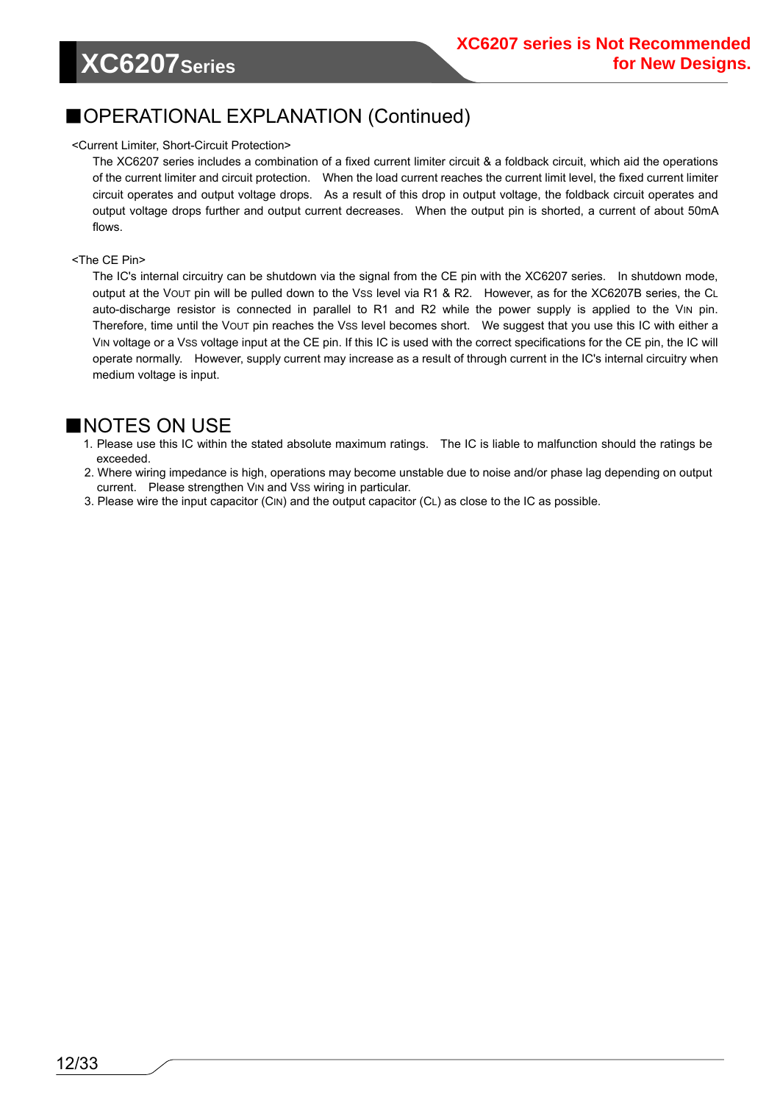# **XC6207Series**

### ■OPERATIONAL EXPLANATION (Continued)

#### <Current Limiter, Short-Circuit Protection>

The XC6207 series includes a combination of a fixed current limiter circuit & a foldback circuit, which aid the operations of the current limiter and circuit protection. When the load current reaches the current limit level, the fixed current limiter circuit operates and output voltage drops. As a result of this drop in output voltage, the foldback circuit operates and output voltage drops further and output current decreases. When the output pin is shorted, a current of about 50mA flows.

#### <The CE Pin>

The IC's internal circuitry can be shutdown via the signal from the CE pin with the XC6207 series. In shutdown mode, output at the VOUT pin will be pulled down to the VSS level via R1 & R2. However, as for the XC6207B series, the CL auto-discharge resistor is connected in parallel to R1 and R2 while the power supply is applied to the V<sub>IN</sub> pin. Therefore, time until the VOUT pin reaches the Vss level becomes short. We suggest that you use this IC with either a VIN voltage or a VSS voltage input at the CE pin. If this IC is used with the correct specifications for the CE pin, the IC will operate normally. However, supply current may increase as a result of through current in the IC's internal circuitry when medium voltage is input.

#### ■NOTES ON USE

- 1. Please use this IC within the stated absolute maximum ratings. The IC is liable to malfunction should the ratings be exceeded.
- 2. Where wiring impedance is high, operations may become unstable due to noise and/or phase lag depending on output current. Please strengthen VIN and VSS wiring in particular.
- 3. Please wire the input capacitor (CIN) and the output capacitor (CL) as close to the IC as possible.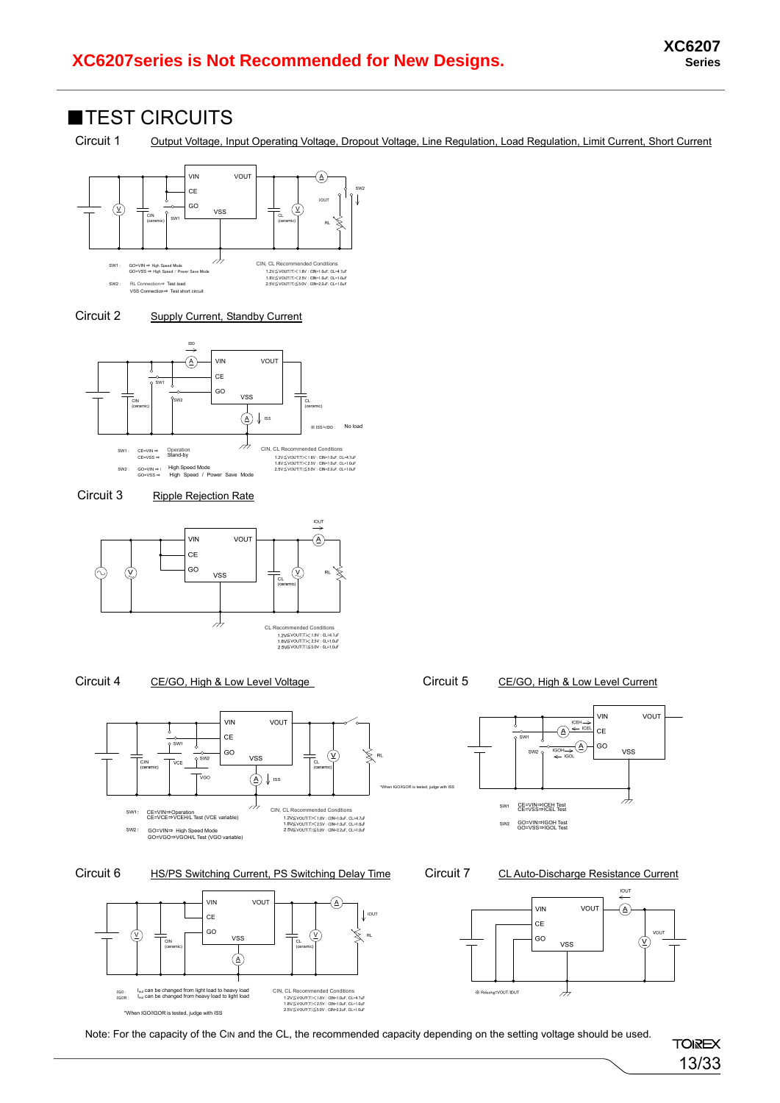#### ■TEST CIRCUITS

Circuit 1 Output Voltage, Input Operating Voltage, Dropout Voltage, Line Regulation, Load Regulation, Limit Current, Short Current



#### Circuit 2 Supply Current, Standby Current







#### Circuit 4 CE/GO, High & Low Level Voltage Circuit 5 CE/GO, High & Low Level Current





Circuit 6 HS/PS Switching Current, PS Switching Delay Time Circuit 7 CL Auto-Discharge Resistance Current



VIN

 $CE$ 

GO

**VSS** 

 $\overline{\mathcal{A}}$ 

 $ICEH \rightarrow$  $(\overline{A}) \xleftarrow{\text{ICEL}}$ 

(д

VOUT



CE=VIN<sup>⇒</sup>ICEH Test CE=VSS<sup>⇒</sup>ICEL Test GO=VIN⇒IGOH Test GO=VSS⇒IGOL Test

sw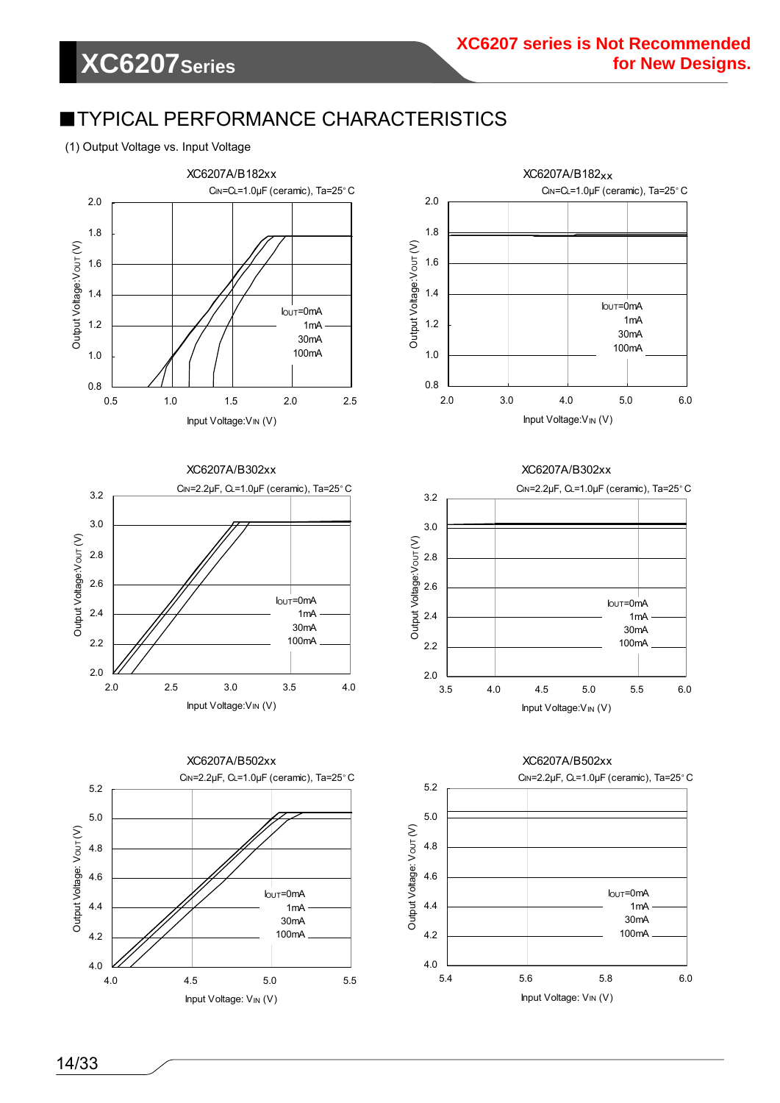### ■TYPICAL PERFORMANCE CHARACTERISTICS

#### (1) Output Voltage vs. Input Voltage



XC6207A/B302xx







#### XC6207A/B302xx





#### 14/33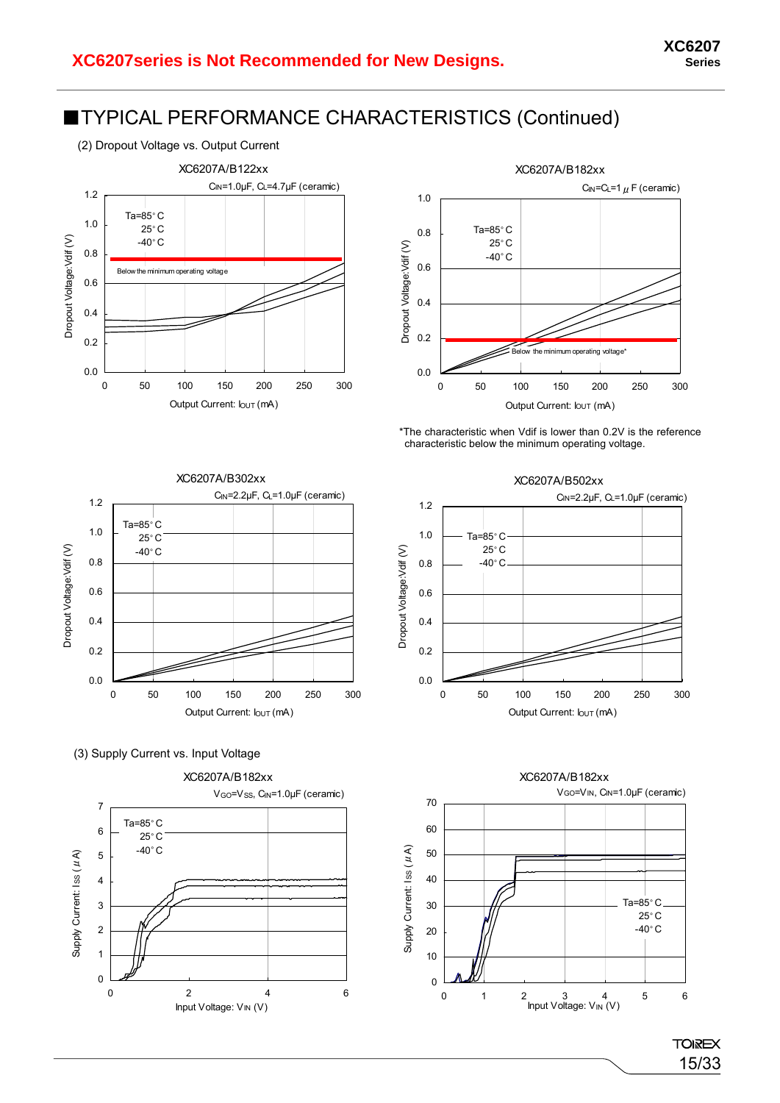



\*The characteristic when Vdif is lower than 0.2V is the reference characteristic below the minimum operating voltage.



(3) Supply Current vs. Input Voltage







15/33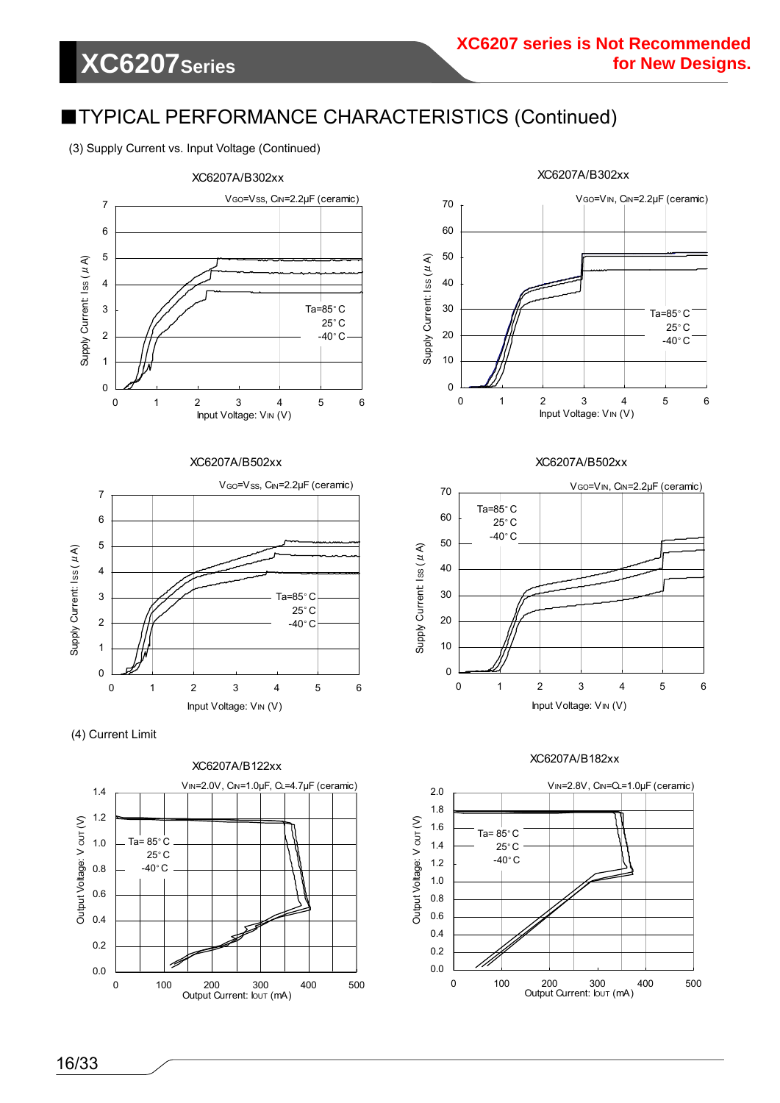(3) Supply Current vs. Input Voltage (Continued)



XC6207A/B502xx









#### XC6207A/B502xx



#### XC6207A/B182xx

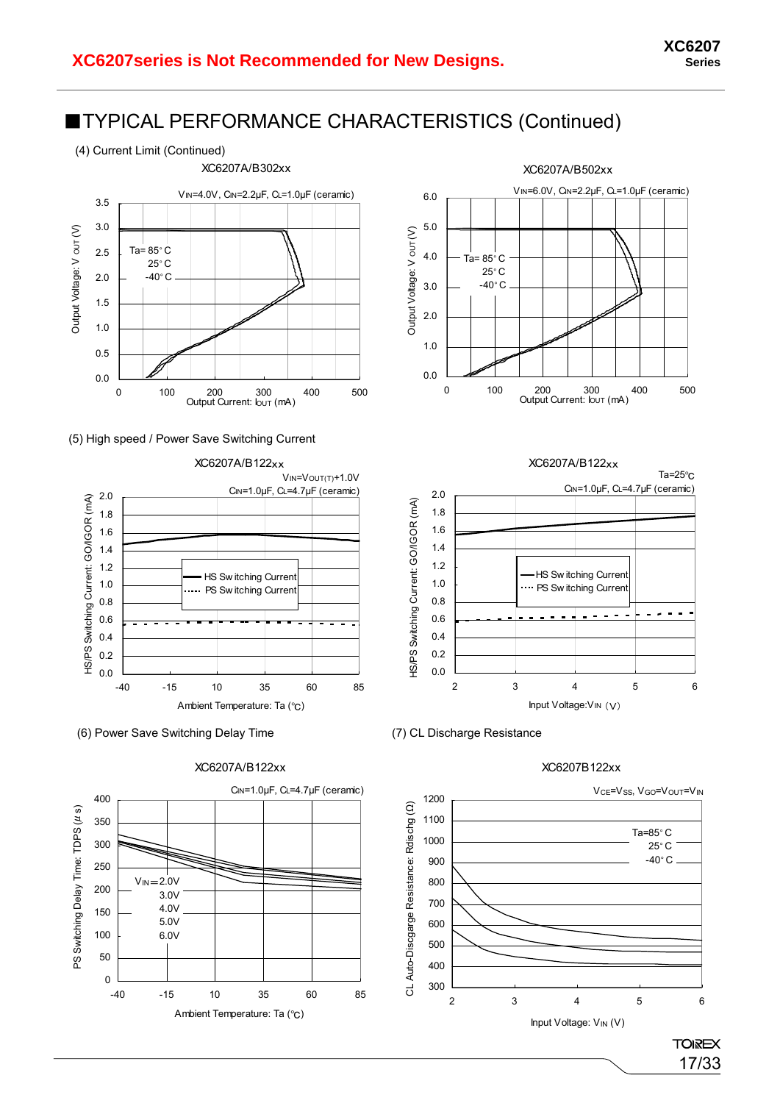

(5) High speed / Power Save Switching Current















#### XC6207B122xx

**TOIREX** 17/33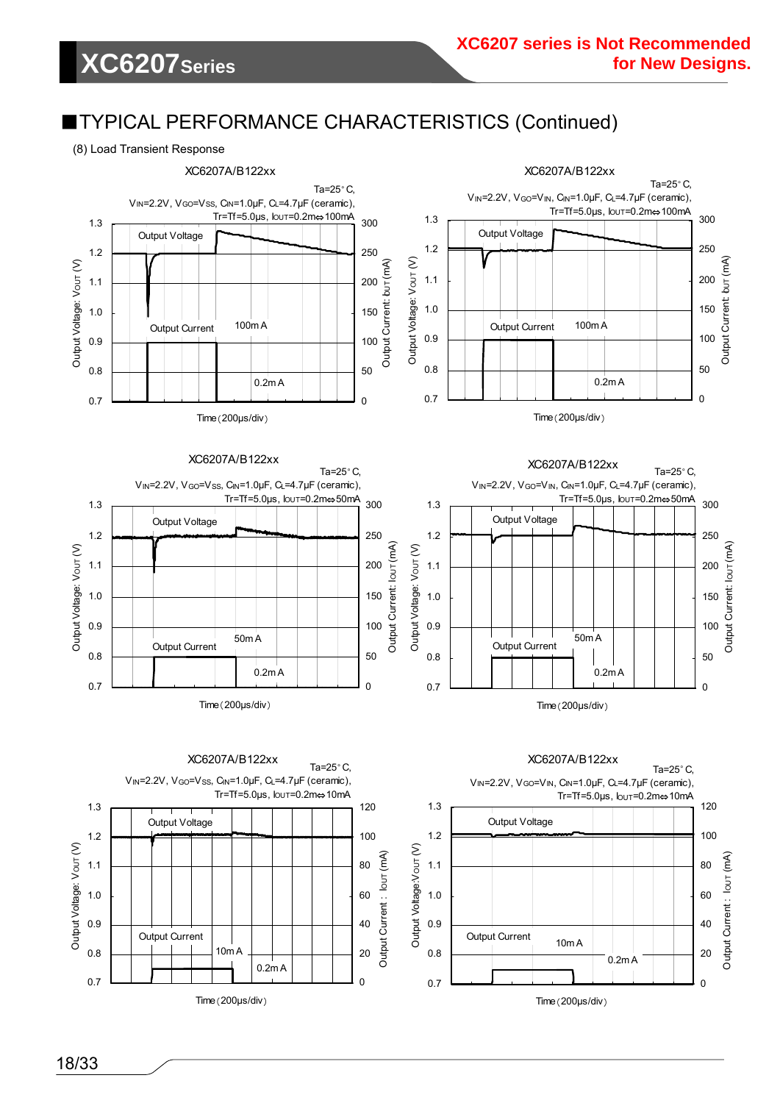#### (8) Load Transient Response

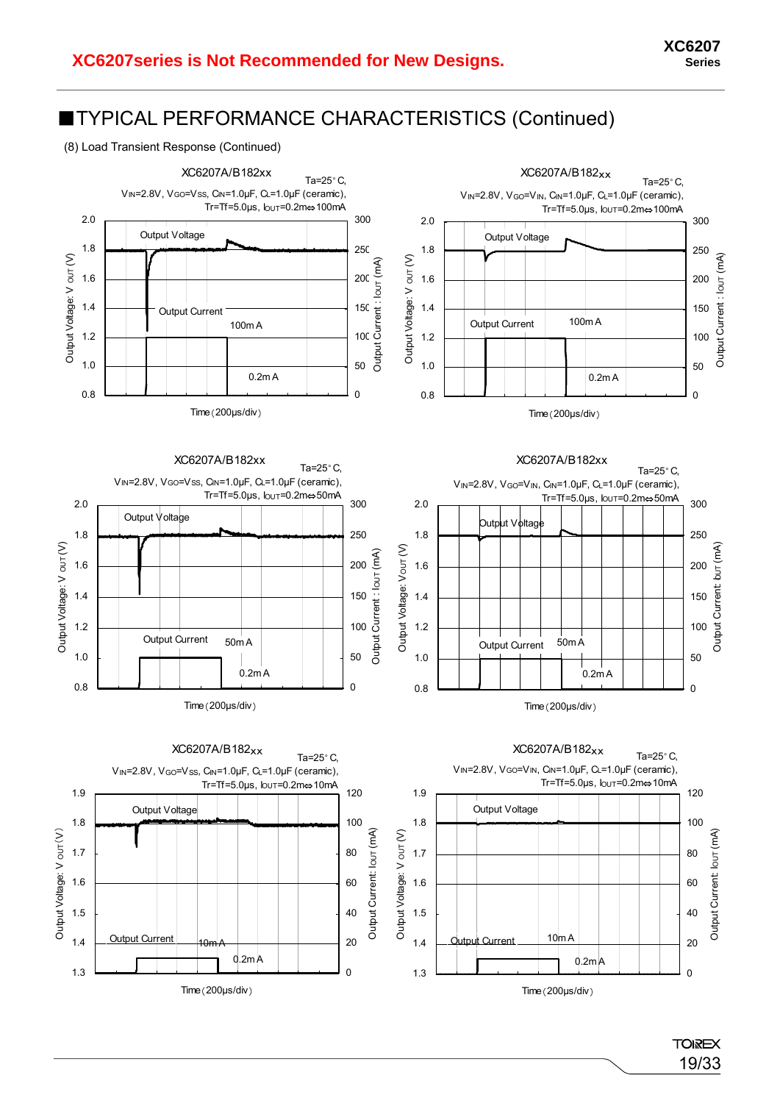#### (8) Load Transient Response (Continued)



**TOIREX** 19/33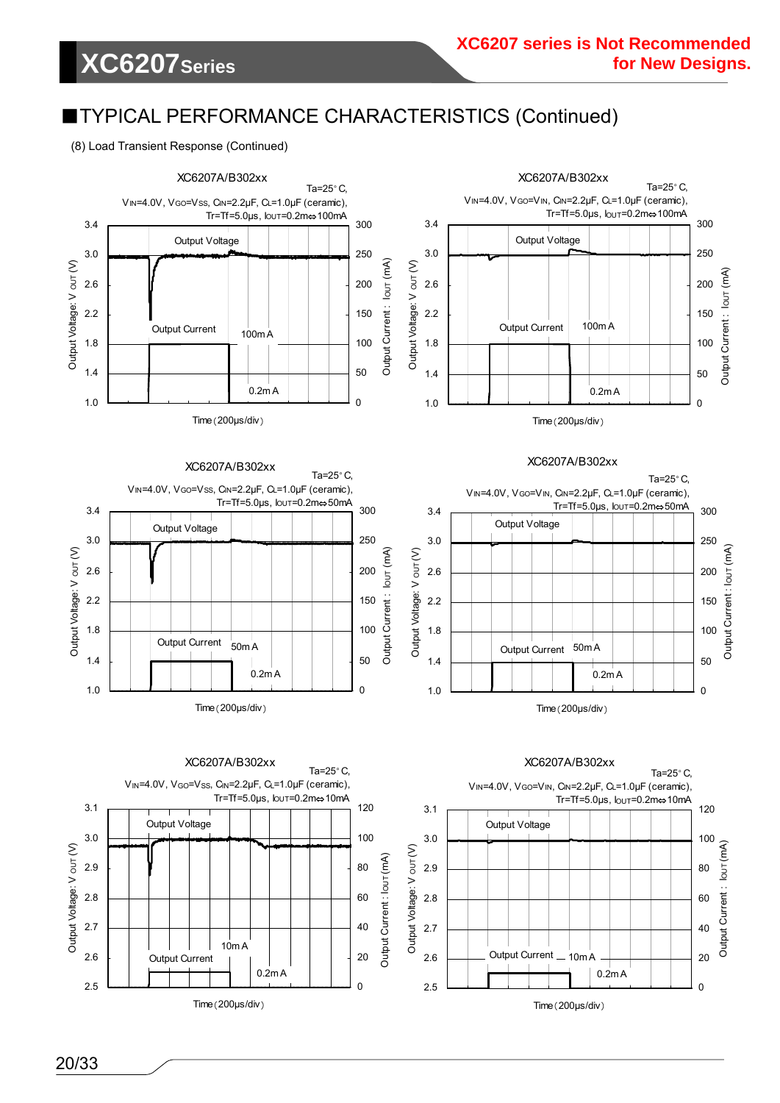(8) Load Transient Response (Continued)

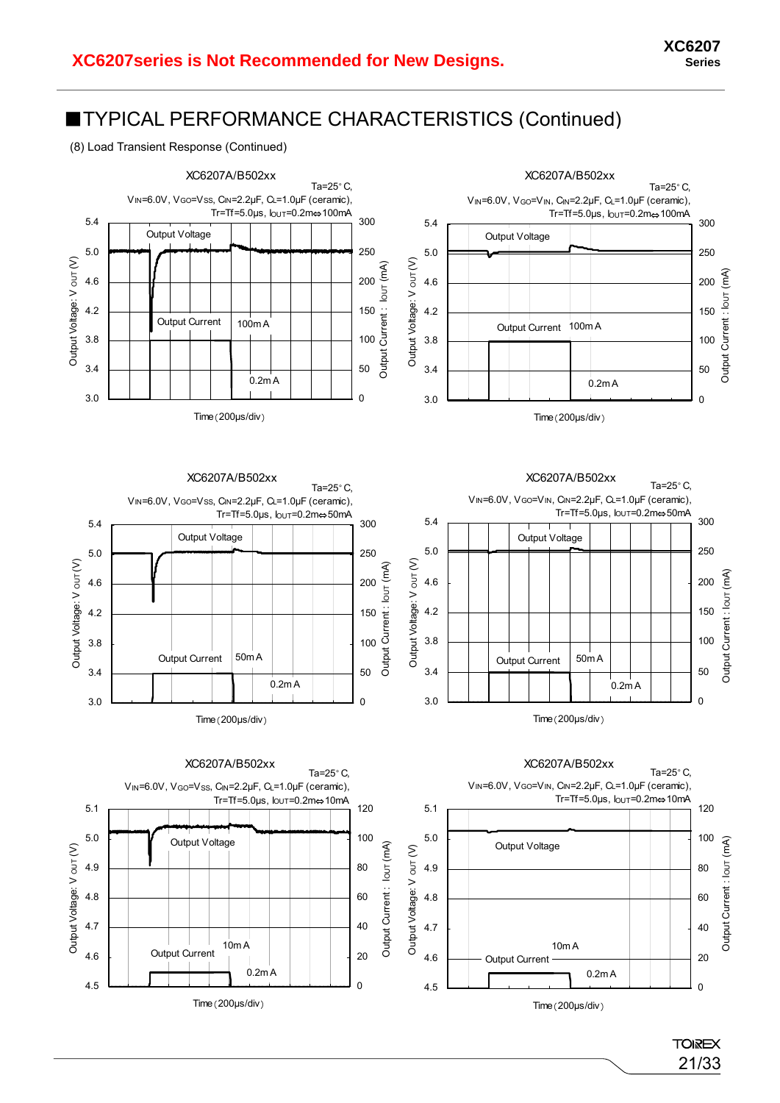#### (8) Load Transient Response (Continued)



**TOIREX** 21/33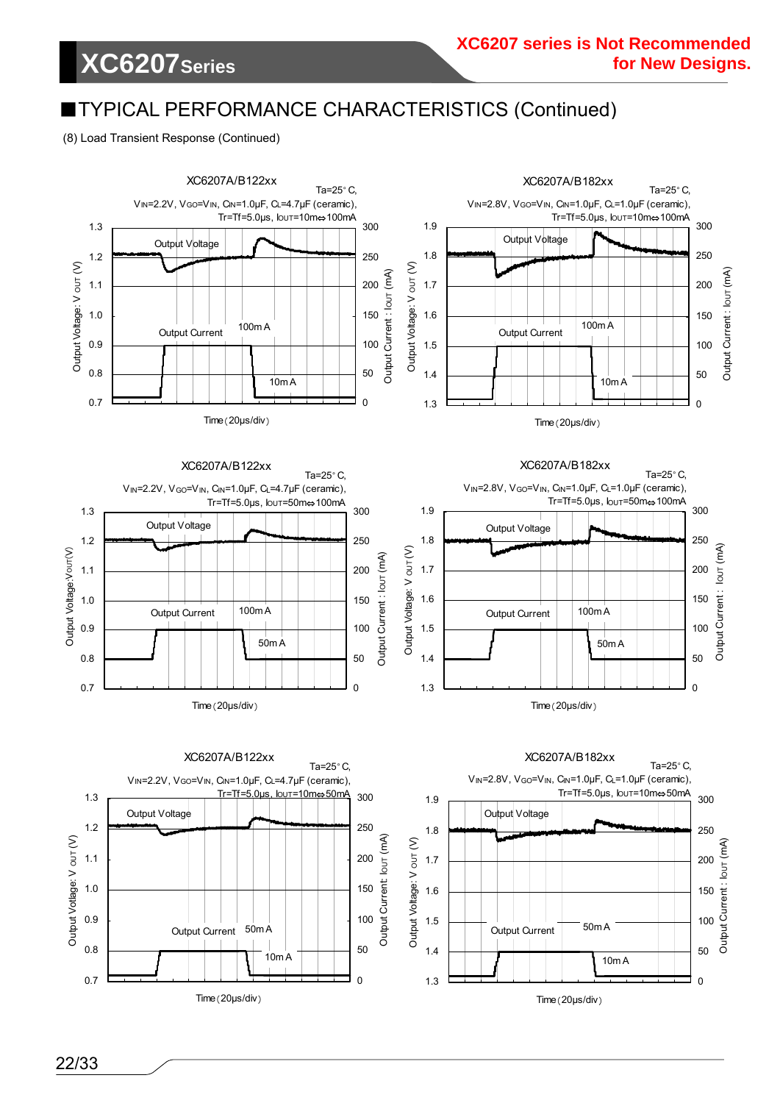# **XC6207Series**

### ■TYPICAL PERFORMANCE CHARACTERISTICS (Continued)

#### (8) Load Transient Response (Continued)

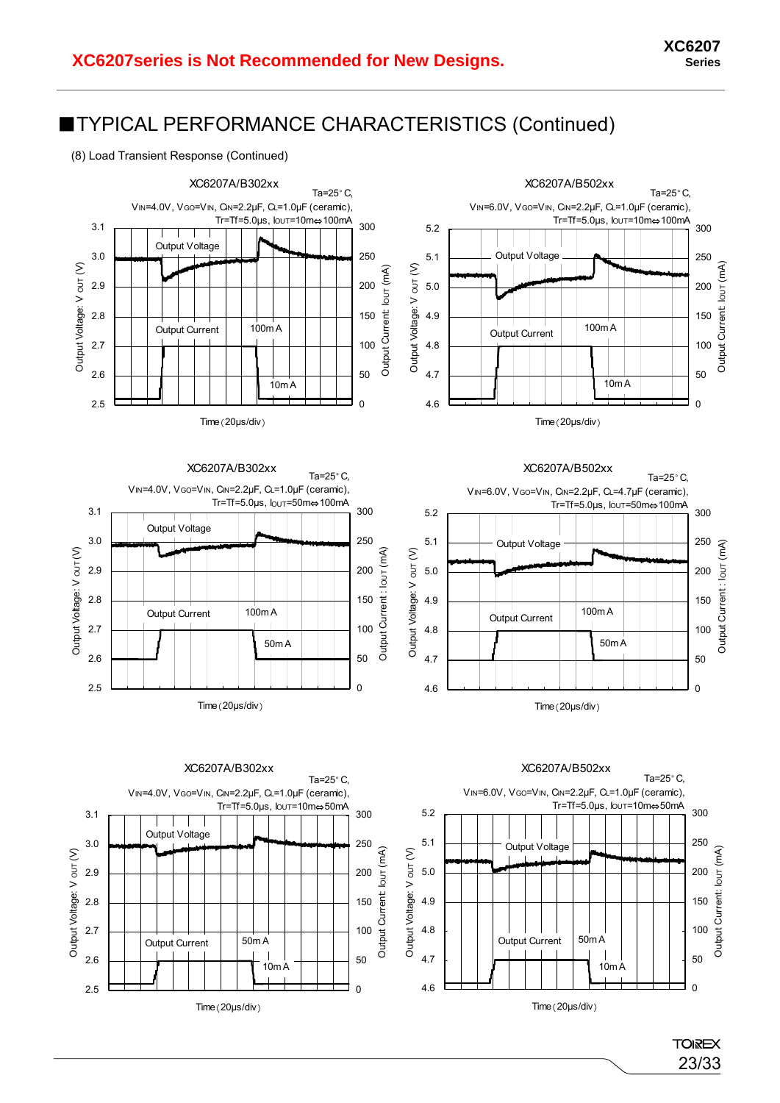



23/33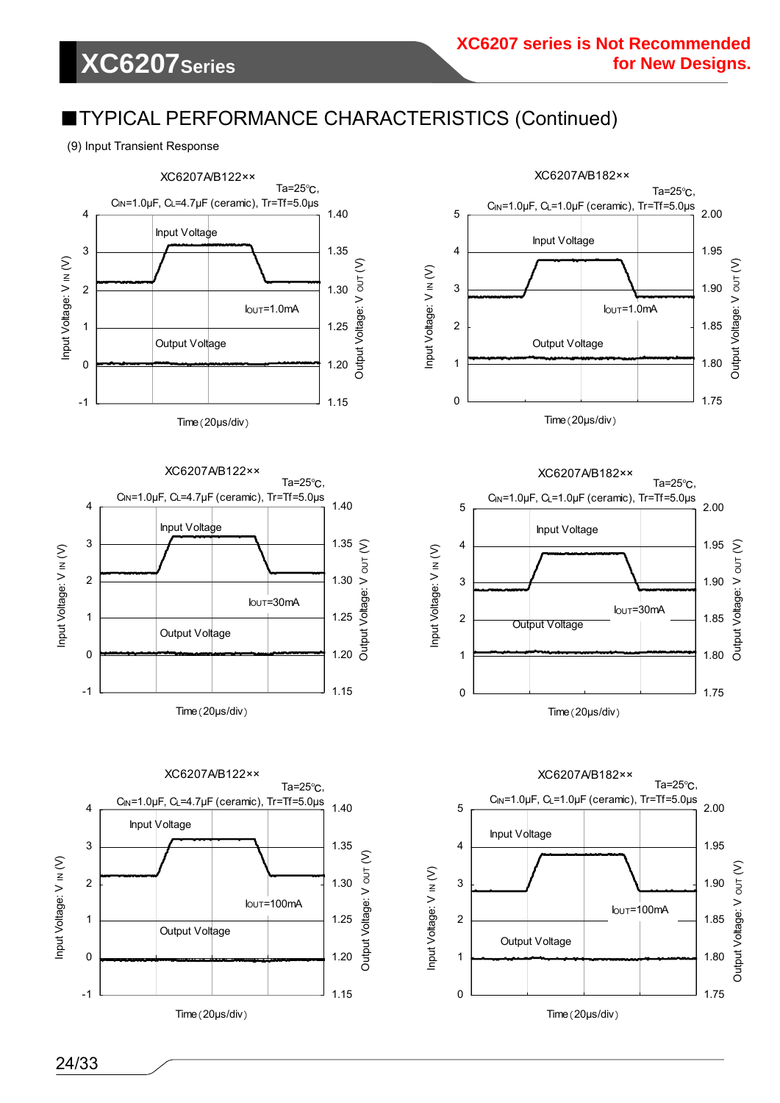(9) Input Transient Response

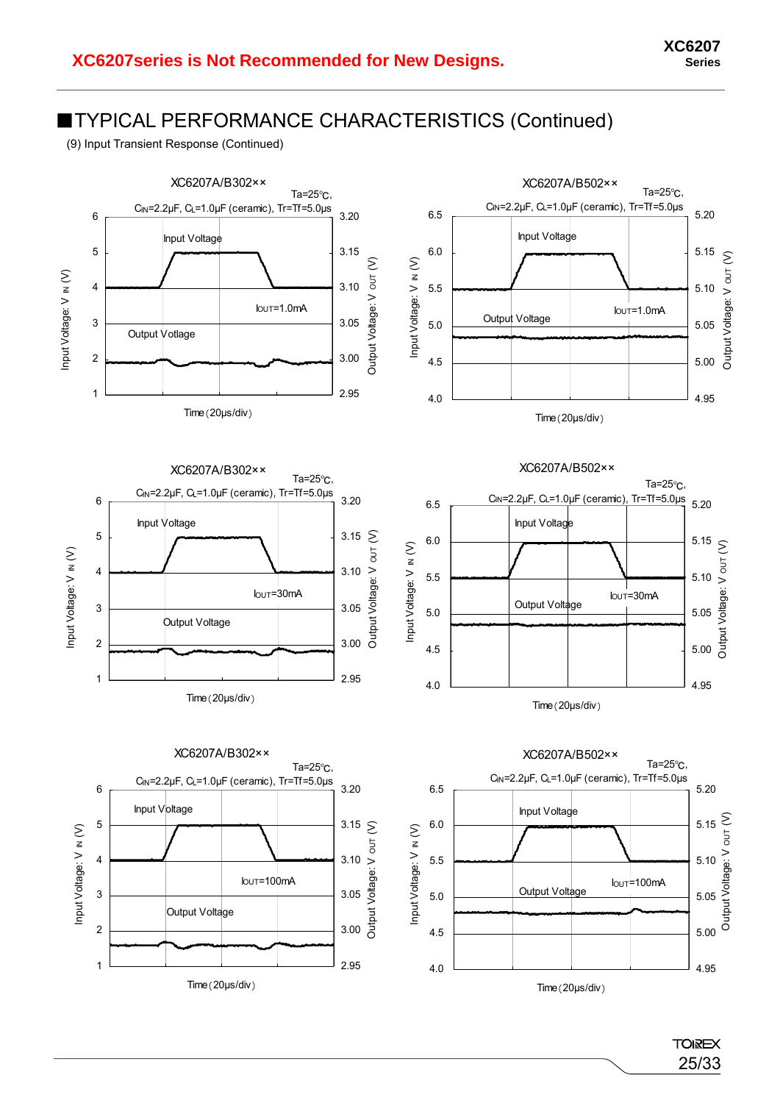(9) Input Transient Response (Continued)



**TOIREX** 25/33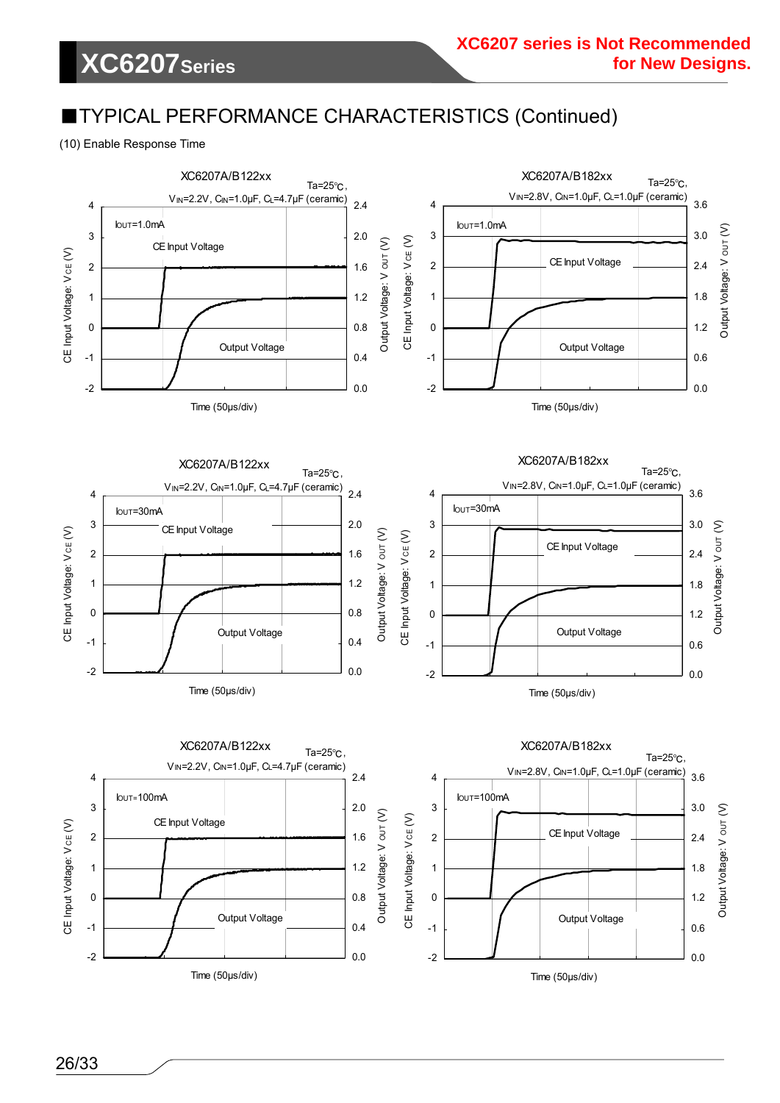(10) Enable Response Time

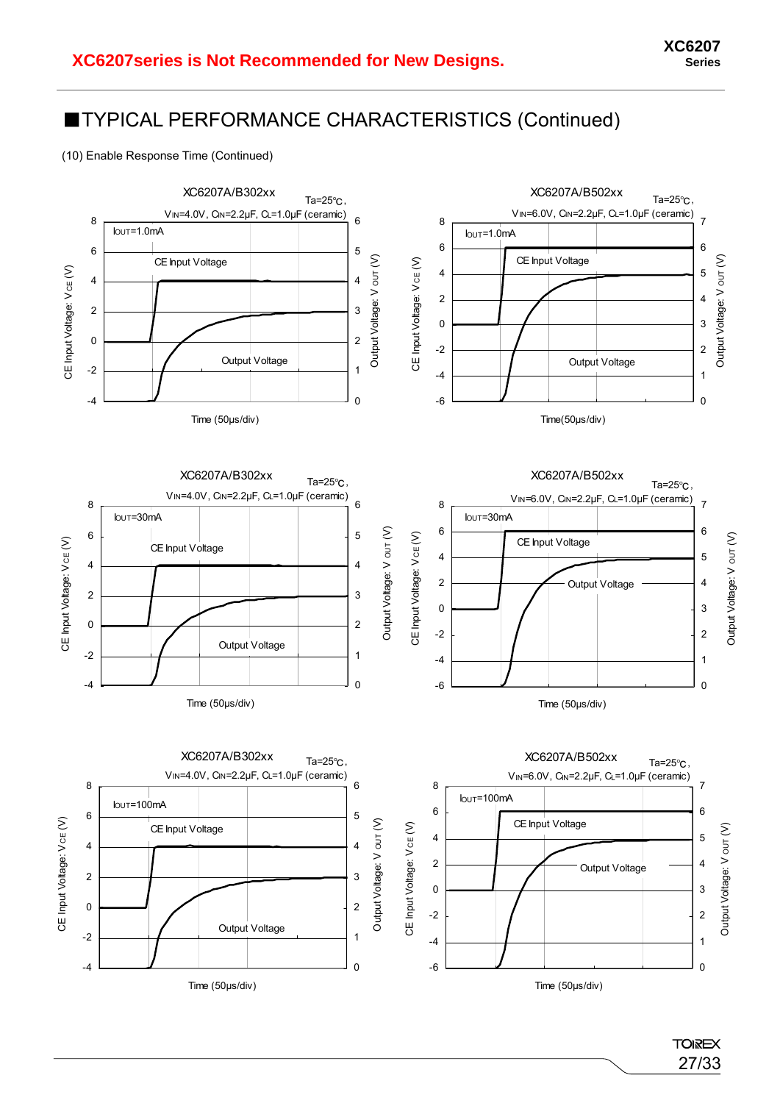(10) Enable Response Time (Continued)



**TOIREX** 27/33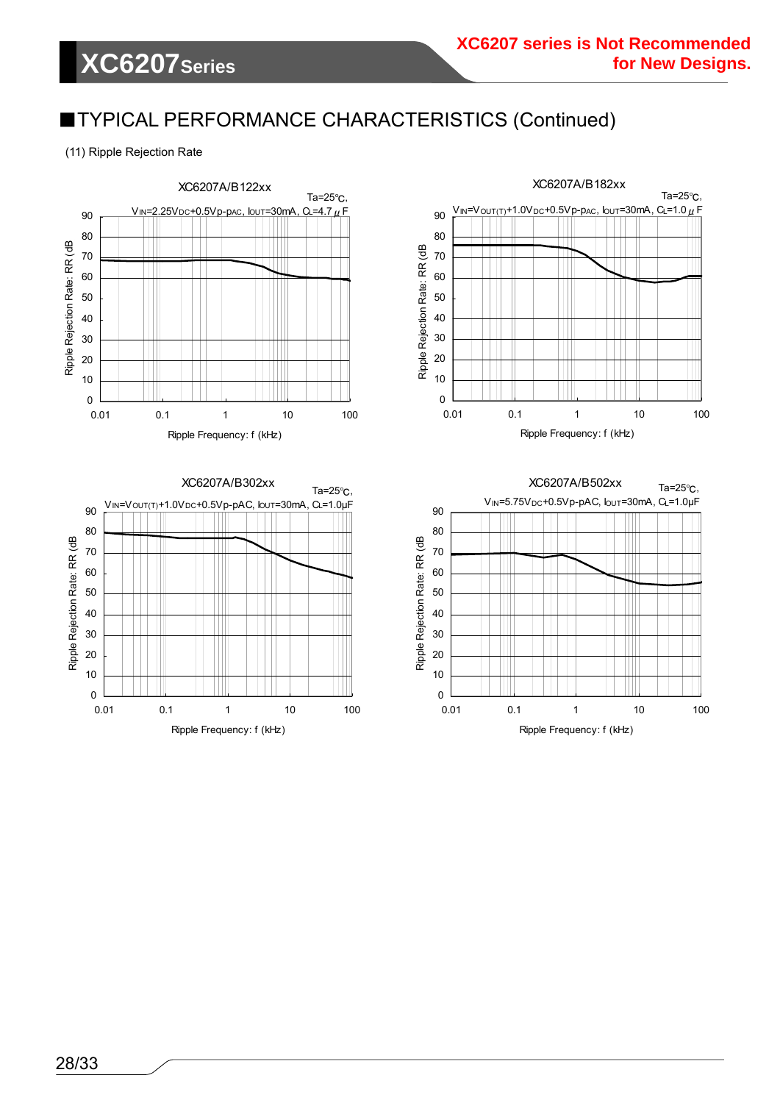(11) Ripple Rejection Rate







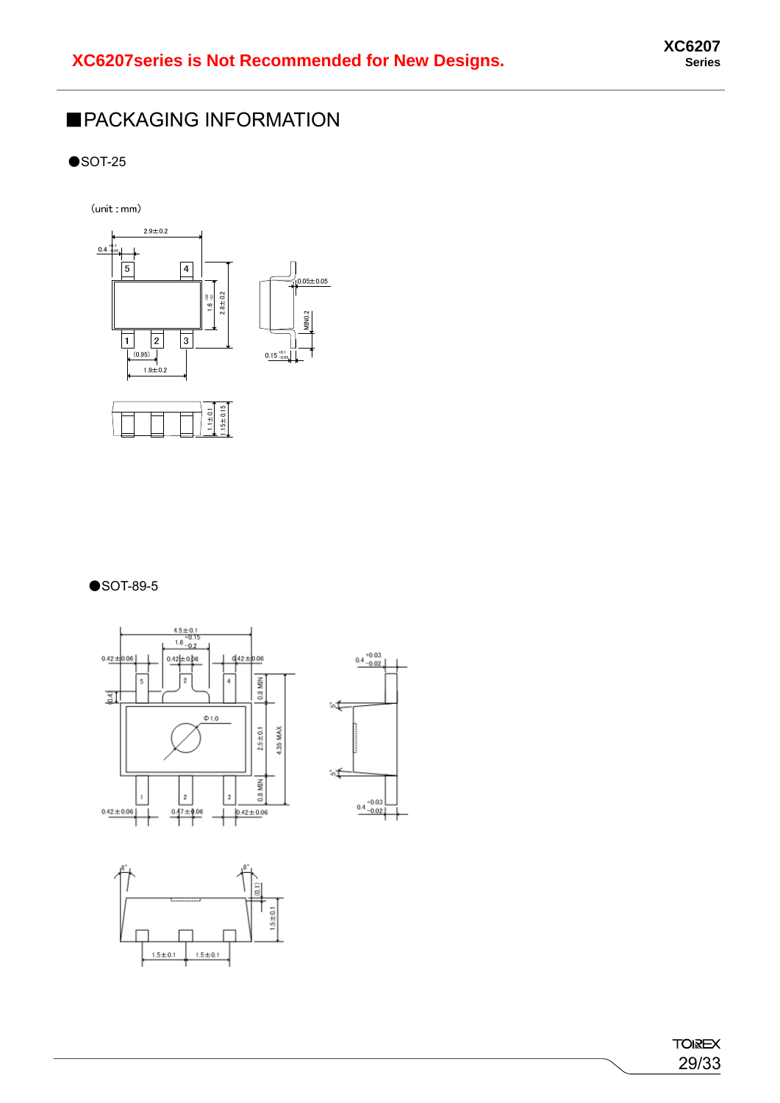### ■PACKAGING INFORMATION

 $\bullet$ SOT-25

 $(unit : mm)$ 



#### ●SOT-89-5







**TOIREX** 29/33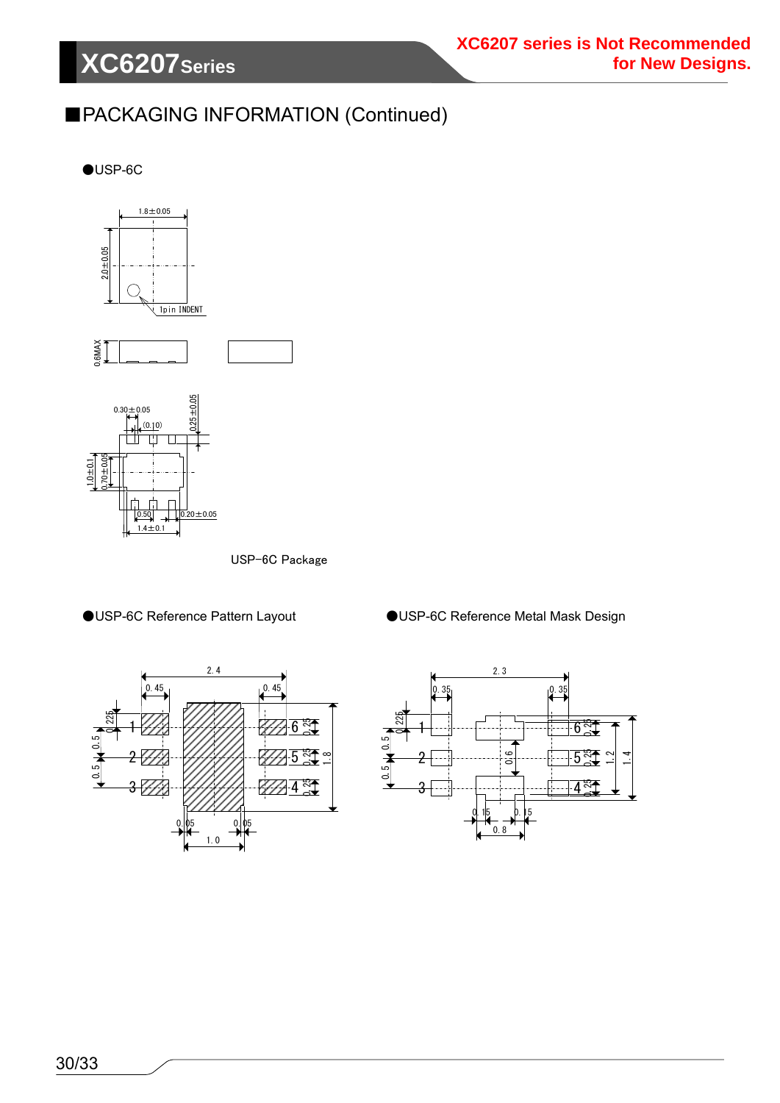# **XC6207Series**

### ■PACKAGING INFORMATION (Continued)

 $\bigcirc$ USP-6C



0.50

1.4±0.1

USP-6C Package

 $0.20 \pm 0.05$ 





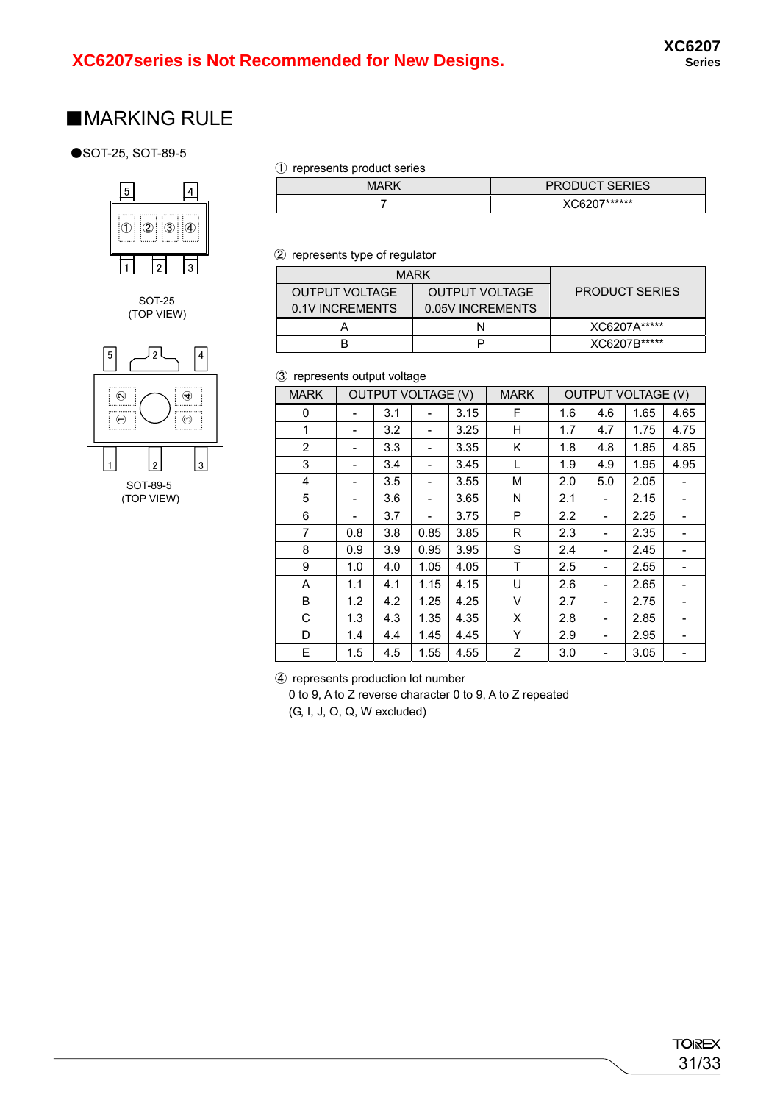### ■**MARKING RULE**

#### ●SOT-25, SOT-89-5



#### SOT-25 (TOP VIEW)



#### ① represents product series

| MARK | <b>PRODUCT SERIES</b> |
|------|-----------------------|
|      | XC6207******          |

#### ② represents type of regulator

| <b>MARK</b>           |                       |              |
|-----------------------|-----------------------|--------------|
| <b>OUTPUT VOLTAGE</b> | <b>PRODUCT SERIES</b> |              |
| 0.1V INCREMENTS       |                       |              |
|                       |                       | XC6207A***** |
|                       |                       | XC6207B***** |

#### ③ represents output voltage

| <b>MARK</b>    | <b>OUTPUT VOLTAGE (V)</b>    |     |                          | <b>MARK</b> | <b>OUTPUT VOLTAGE (V)</b> |     |     |      |      |
|----------------|------------------------------|-----|--------------------------|-------------|---------------------------|-----|-----|------|------|
| 0              |                              | 3.1 |                          | 3.15        | F                         | 1.6 | 4.6 | 1.65 | 4.65 |
| 1              | $\qquad \qquad \blacksquare$ | 3.2 |                          | 3.25        | н                         | 1.7 | 4.7 | 1.75 | 4.75 |
| $\overline{2}$ |                              | 3.3 | $\overline{\phantom{a}}$ | 3.35        | K                         | 1.8 | 4.8 | 1.85 | 4.85 |
| 3              |                              | 3.4 |                          | 3.45        | L                         | 1.9 | 4.9 | 1.95 | 4.95 |
| 4              |                              | 3.5 |                          | 3.55        | М                         | 2.0 | 5.0 | 2.05 |      |
| 5              |                              | 3.6 |                          | 3.65        | N                         | 2.1 |     | 2.15 |      |
| 6              |                              | 3.7 |                          | 3.75        | P                         | 2.2 |     | 2.25 |      |
| $\overline{7}$ | 0.8                          | 3.8 | 0.85                     | 3.85        | R                         | 2.3 |     | 2.35 |      |
| 8              | 0.9                          | 3.9 | 0.95                     | 3.95        | S                         | 2.4 | -   | 2.45 |      |
| 9              | 1.0                          | 4.0 | 1.05                     | 4.05        | $\mathsf T$               | 2.5 |     | 2.55 |      |
| Α              | 1.1                          | 4.1 | 1.15                     | 4.15        | U                         | 2.6 |     | 2.65 |      |
| B              | 1.2                          | 4.2 | 1.25                     | 4.25        | V                         | 2.7 |     | 2.75 |      |
| С              | 1.3                          | 4.3 | 1.35                     | 4.35        | X                         | 2.8 |     | 2.85 |      |
| D              | 1.4                          | 4.4 | 1.45                     | 4.45        | Y                         | 2.9 |     | 2.95 |      |
| E              | 1.5                          | 4.5 | 1.55                     | 4.55        | Z                         | 3.0 |     | 3.05 |      |

④ represents production lot number

0 to 9, A to Z reverse character 0 to 9, A to Z repeated (G, I, J, O, Q, W excluded)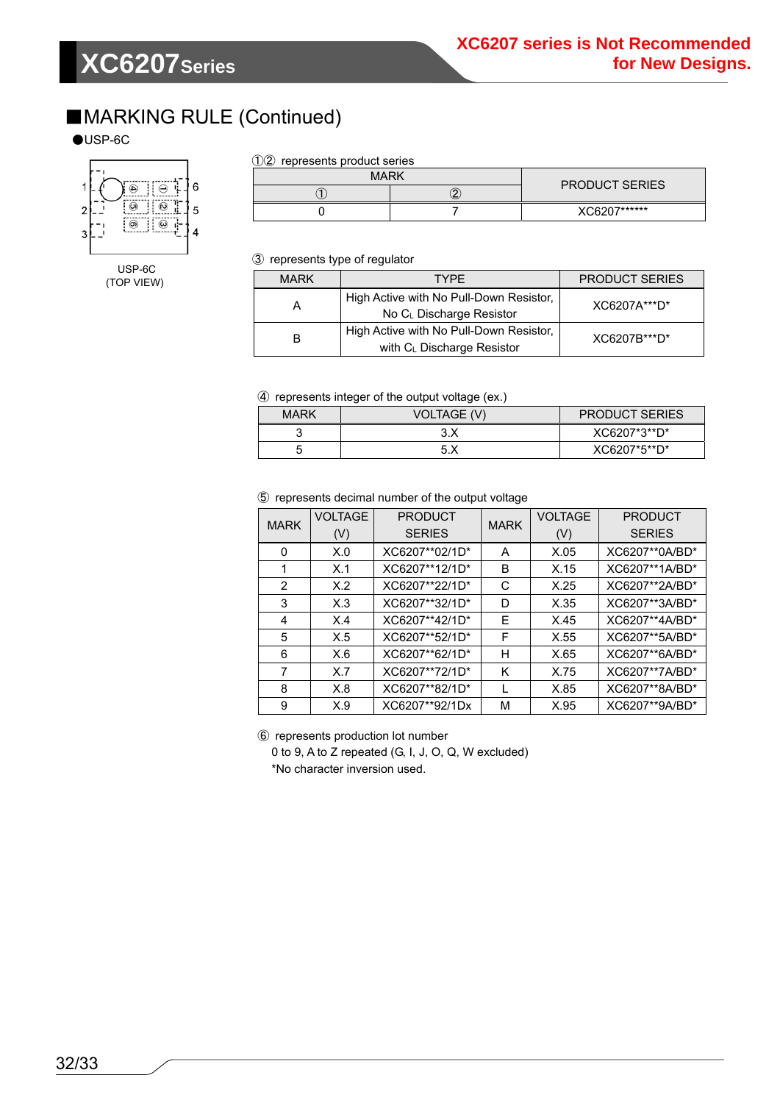### ■MARKING RULE (Continued)

#### $\bigcirc$ USP-6C



USP-6C (TOP VIEW)

#### ①② represents product series

| <b>MARK</b> |   | <b>PRODUCT SERIES</b> |  |
|-------------|---|-----------------------|--|
|             | ے |                       |  |
|             |   | XC6207******          |  |

③ represents type of regulator

| <b>MARK</b> | <b>TYPF</b>                                                           | <b>PRODUCT SERIES</b> |
|-------------|-----------------------------------------------------------------------|-----------------------|
| А           | High Active with No Pull-Down Resistor,<br>No CL Discharge Resistor   | XC6207A***D*          |
| B           | High Active with No Pull-Down Resistor,<br>with CL Discharge Resistor | XC6207B***D*          |

#### ④ represents integer of the output voltage (ex.)

| <b>MARK</b> | . .<br>VOLTAGE (V) | <b>PRODUCT SERIES</b> |
|-------------|--------------------|-----------------------|
|             | 3.X                | XC6207*3**D*          |
|             | 5.X                | XC6207*5**D*          |

#### ⑤ represents decimal number of the output voltage

| <b>MARK</b>   | <b>VOLTAGE</b><br>(V) | <b>PRODUCT</b><br><b>SERIES</b> | <b>MARK</b> | <b>VOLTAGE</b><br>(V) | <b>PRODUCT</b><br><b>SERIES</b> |
|---------------|-----------------------|---------------------------------|-------------|-----------------------|---------------------------------|
| 0             | X.0                   | XC6207**02/1D*                  | A           | X.05                  | XC6207**0A/BD*                  |
|               |                       |                                 |             |                       |                                 |
|               | X.1                   | XC6207**12/1D*                  | в           | X.15                  | XC6207**1A/BD*                  |
| $\mathcal{P}$ | X.2                   | XC6207**22/1D*                  | С           | X.25                  | XC6207**2A/BD*                  |
| 3             | X.3                   | XC6207**32/1D*                  | D           | X.35                  | XC6207**3A/BD*                  |
| 4             | X.4                   | XC6207**42/1D*                  | F           | X.45                  | XC6207**4A/BD*                  |
| 5             | X.5                   | XC6207**52/1D*                  | F           | X.55                  | XC6207**5A/BD*                  |
| 6             | X.6                   | XC6207**62/1D*                  | н           | X.65                  | XC6207**6A/BD*                  |
| 7             | X.7                   | XC6207**72/1D*                  | K           | X.75                  | XC6207**7A/BD*                  |
| 8             | X.8                   | XC6207**82/1D*                  |             | X.85                  | XC6207**8A/BD*                  |
| 9             | X.9                   | XC6207**92/1Dx                  | М           | X.95                  | XC6207**9A/BD*                  |

⑥ represents production lot number

0 to 9, A to Z repeated (G, I, J, O, Q, W excluded) \*No character inversion used.